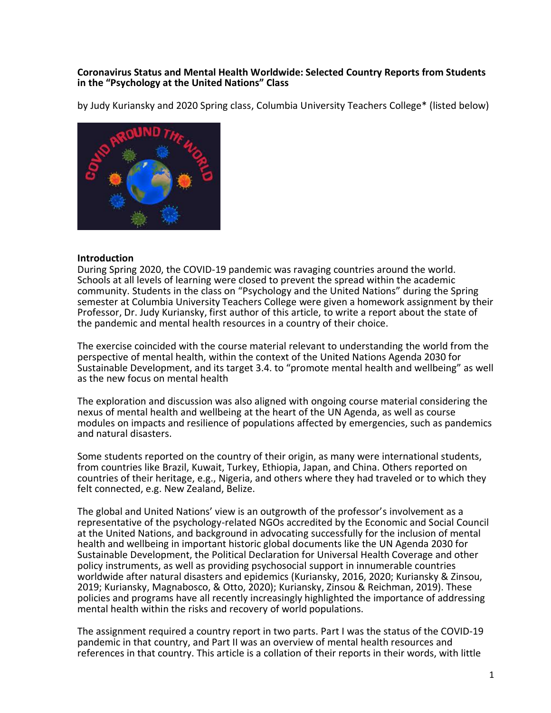#### **Coronavirus Status and Mental Health Worldwide: Selected Country Reports from Students in the "Psychology at the United Nations" Class**

by Judy Kuriansky and 2020 Spring class, Columbia University Teachers College\* (listed below)



#### **Introduction**

During Spring 2020, the COVID-19 pandemic was ravaging countries around the world. Schools at all levels of learning were closed to prevent the spread within the academic community. Students in the class on "Psychology and the United Nations" during the Spring semester at Columbia University Teachers College were given a homework assignment by their Professor, Dr. Judy Kuriansky, first author of this article, to write a report about the state of the pandemic and mental health resources in a country of their choice.

The exercise coincided with the course material relevant to understanding the world from the perspective of mental health, within the context of the United Nations Agenda 2030 for Sustainable Development, and its target 3.4. to "promote mental health and wellbeing" as well as the new focus on mental health

The exploration and discussion was also aligned with ongoing course material considering the nexus of mental health and wellbeing at the heart of the UN Agenda, as well as course modules on impacts and resilience of populations affected by emergencies, such as pandemics and natural disasters.

Some students reported on the country of their origin, as many were international students, from countries like Brazil, Kuwait, Turkey, Ethiopia, Japan, and China. Others reported on countries of their heritage, e.g., Nigeria, and others where they had traveled or to which they felt connected, e.g. New Zealand, Belize.

The global and United Nations' view is an outgrowth of the professor's involvement as a representative of the psychology-related NGOs accredited by the Economic and Social Council at the United Nations, and background in advocating successfully for the inclusion of mental health and wellbeing in important historic global documents like the UN Agenda 2030 for Sustainable Development, the Political Declaration for Universal Health Coverage and other policy instruments, as well as providing psychosocial support in innumerable countries worldwide after natural disasters and epidemics (Kuriansky, 2016, 2020; Kuriansky & Zinsou, 2019; Kuriansky, Magnabosco, & Otto, 2020); Kuriansky, Zinsou & Reichman, 2019). These policies and programs have all recently increasingly highlighted the importance of addressing mental health within the risks and recovery of world populations.

The assignment required a country report in two parts. Part I was the status of the COVID-19 pandemic in that country, and Part II was an overview of mental health resources and references in that country. This article is a collation of their reports in their words, with little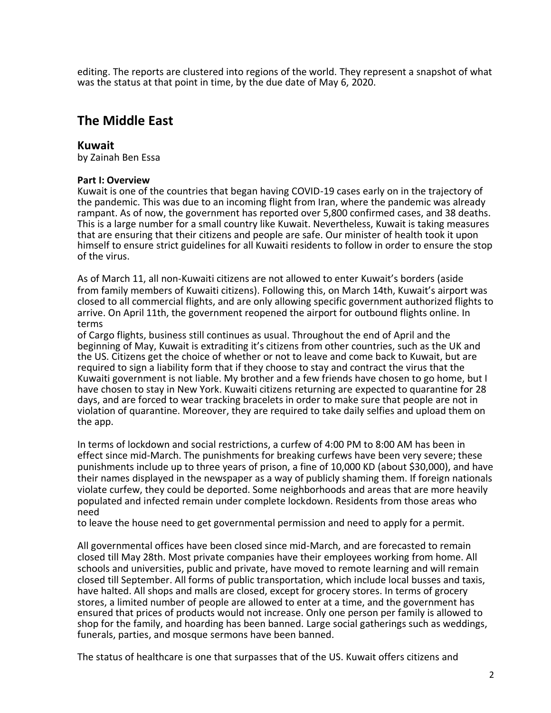editing. The reports are clustered into regions of the world. They represent a snapshot of what was the status at that point in time, by the due date of May 6, 2020.

# **The Middle East**

#### **Kuwait**

by Zainah Ben Essa

#### **Part I: Overview**

Kuwait is one of the countries that began having COVID-19 cases early on in the trajectory of the pandemic. This was due to an incoming flight from Iran, where the pandemic was already rampant. As of now, the government has reported over 5,800 confirmed cases, and 38 deaths. This is a large number for a small country like Kuwait. Nevertheless, Kuwait is taking measures that are ensuring that their citizens and people are safe. Our minister of health took it upon himself to ensure strict guidelines for all Kuwaiti residents to follow in order to ensure the stop of the virus.

As of March 11, all non-Kuwaiti citizens are not allowed to enter Kuwait's borders (aside from family members of Kuwaiti citizens). Following this, on March 14th, Kuwait's airport was closed to all commercial flights, and are only allowing specific government authorized flights to arrive. On April 11th, the government reopened the airport for outbound flights online. In terms

of Cargo flights, business still continues as usual. Throughout the end of April and the beginning of May, Kuwait is extraditing it's citizens from other countries, such as the UK and the US. Citizens get the choice of whether or not to leave and come back to Kuwait, but are required to sign a liability form that if they choose to stay and contract the virus that the Kuwaiti government is not liable. My brother and a few friends have chosen to go home, but I have chosen to stay in New York. Kuwaiti citizens returning are expected to quarantine for 28 days, and are forced to wear tracking bracelets in order to make sure that people are not in violation of quarantine. Moreover, they are required to take daily selfies and upload them on the app.

In terms of lockdown and social restrictions, a curfew of 4:00 PM to 8:00 AM has been in effect since mid-March. The punishments for breaking curfews have been very severe; these punishments include up to three years of prison, a fine of 10,000 KD (about \$30,000), and have their names displayed in the newspaper as a way of publicly shaming them. If foreign nationals violate curfew, they could be deported. Some neighborhoods and areas that are more heavily populated and infected remain under complete lockdown. Residents from those areas who need

to leave the house need to get governmental permission and need to apply for a permit.

All governmental offices have been closed since mid-March, and are forecasted to remain closed till May 28th. Most private companies have their employees working from home. All schools and universities, public and private, have moved to remote learning and will remain closed till September. All forms of public transportation, which include local busses and taxis, have halted. All shops and malls are closed, except for grocery stores. In terms of grocery stores, a limited number of people are allowed to enter at a time, and the government has ensured that prices of products would not increase. Only one person per family is allowed to shop for the family, and hoarding has been banned. Large social gatherings such as weddings, funerals, parties, and mosque sermons have been banned.

The status of healthcare is one that surpasses that of the US. Kuwait offers citizens and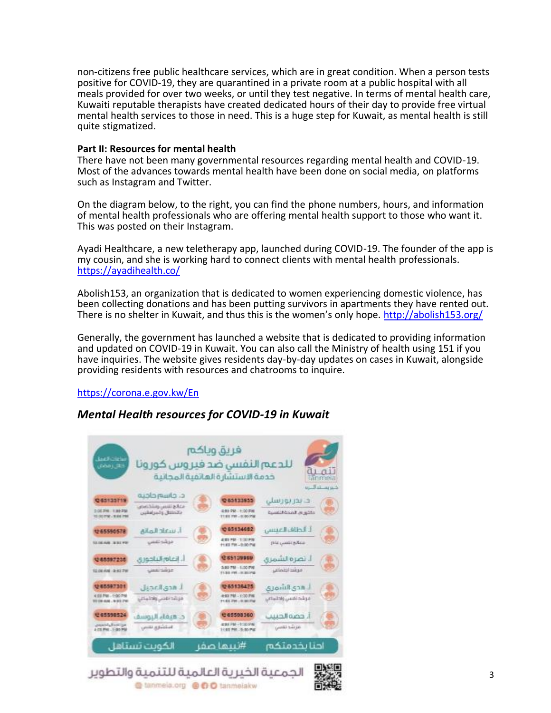non-citizens free public healthcare services, which are in great condition. When a person tests positive for COVID-19, they are quarantined in a private room at a public hospital with all meals provided for over two weeks, or until they test negative. In terms of mental health care, Kuwaiti reputable therapists have created dedicated hours of their day to provide free virtual mental health services to those in need. This is a huge step for Kuwait, as mental health is still quite stigmatized.

#### **Part II: Resources for mental health**

There have not been many governmental resources regarding mental health and COVID-19. Most of the advances towards mental health have been done on social media, on platforms such as Instagram and Twitter.

On the diagram below, to the right, you can find the phone numbers, hours, and information of mental health professionals who are offering mental health support to those who want it. This was posted on their Instagram.

Ayadi Healthcare, a new teletherapy app, launched during COVID-19. The founder of the app is my cousin, and she is working hard to connect clients with mental health professionals. <https://ayadihealth.co/>

Abolish153, an organization that is dedicated to women experiencing domestic violence, has been collecting donations and has been putting survivors in apartments they have rented out. There is no shelter in Kuwait, and thus this is the women's only hope. <http://abolish153.org/>

Generally, the government has launched a website that is dedicated to providing information and updated on COVID-19 in Kuwait. You can also call the Ministry of health using 151 if you have inquiries. The website gives residents day-by-day updates on cases in Kuwait, alongside providing residents with resources and chatrooms to inquire.

<https://corona.e.gov.kw/En>

# *Mental Health resources for COVID-19 in Kuwait*

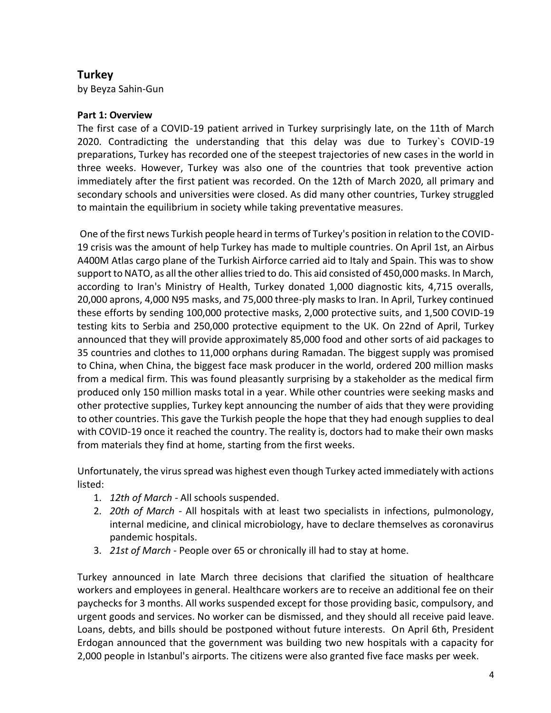# **Turkey**

by Beyza Sahin-Gun

### **Part 1: Overview**

The first case of a COVID-19 patient arrived in Turkey surprisingly late, on the 11th of March 2020. Contradicting the understanding that this delay was due to Turkey`s COVID-19 preparations, Turkey has recorded one of the steepest trajectories of new cases in the world in three weeks. However, Turkey was also one of the countries that took preventive action immediately after the first patient was recorded. On the 12th of March 2020, all primary and secondary schools and universities were closed. As did many other countries, Turkey struggled to maintain the equilibrium in society while taking preventative measures.

One of the first news Turkish people heard in terms of Turkey's position in relation to the COVID-19 crisis was the amount of help Turkey has made to multiple countries. On April 1st, an Airbus A400M Atlas cargo plane of the Turkish Airforce carried aid to Italy and Spain. This was to show support to NATO, as all the other allies tried to do. This aid consisted of 450,000 masks. In March, according to Iran's Ministry of Health, Turkey donated 1,000 diagnostic kits, 4,715 overalls, 20,000 aprons, 4,000 N95 masks, and 75,000 three-ply masks to Iran. In April, Turkey continued these efforts by sending 100,000 protective masks, 2,000 protective suits, and 1,500 COVID-19 testing kits to Serbia and 250,000 protective equipment to the UK. On 22nd of April, Turkey announced that they will provide approximately 85,000 food and other sorts of aid packages to 35 countries and clothes to 11,000 orphans during Ramadan. The biggest supply was promised to China, when China, the biggest face mask producer in the world, ordered 200 million masks from a medical firm. This was found pleasantly surprising by a stakeholder as the medical firm produced only 150 million masks total in a year. While other countries were seeking masks and other protective supplies, Turkey kept announcing the number of aids that they were providing to other countries. This gave the Turkish people the hope that they had enough supplies to deal with COVID-19 once it reached the country. The reality is, doctors had to make their own masks from materials they find at home, starting from the first weeks.

Unfortunately, the virus spread was highest even though Turkey acted immediately with actions listed:

- 1. *12th of March -* All schools suspended.
- 2. *20th of March -* All hospitals with at least two specialists in infections, pulmonology, internal medicine, and clinical microbiology, have to declare themselves as coronavirus pandemic hospitals.
- 3. *21st of March -* People over 65 or chronically ill had to stay at home.

Turkey announced in late March three decisions that clarified the situation of healthcare workers and employees in general. Healthcare workers are to receive an additional fee on their paychecks for 3 months. All works suspended except for those providing basic, compulsory, and urgent goods and services. No worker can be dismissed, and they should all receive paid leave. Loans, debts, and bills should be postponed without future interests. On April 6th, President Erdogan announced that the government was building two new hospitals with a capacity for 2,000 people in Istanbul's airports. The citizens were also granted five face masks per week.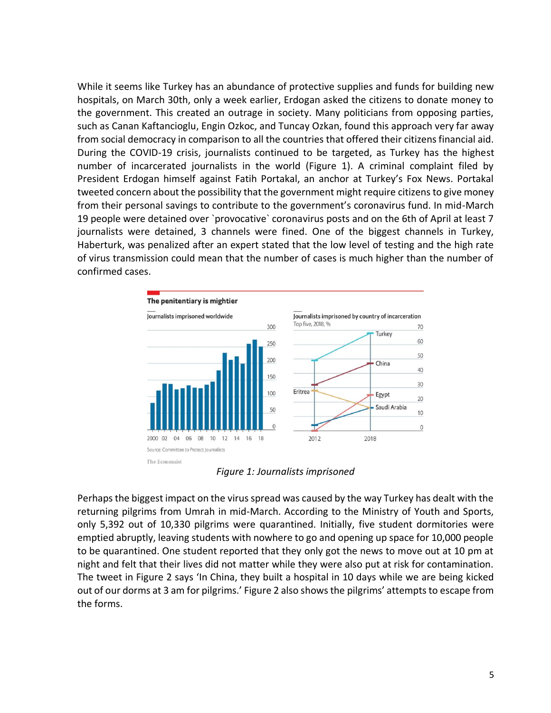While it seems like Turkey has an abundance of protective supplies and funds for building new hospitals, on March 30th, only a week earlier, Erdogan asked the citizens to donate money to the government. This created an outrage in society. Many politicians from opposing parties, such as Canan Kaftancioglu, Engin Ozkoc, and Tuncay Ozkan, found this approach very far away from social democracy in comparison to all the countries that offered their citizens financial aid. During the COVID-19 crisis, journalists continued to be targeted, as Turkey has the highest number of incarcerated journalists in the world (Figure 1). A criminal complaint filed by President Erdogan himself against Fatih Portakal, an anchor at Turkey's Fox News. Portakal tweeted concern about the possibility that the government might require citizens to give money from their personal savings to contribute to the government's coronavirus fund. In mid-March 19 people were detained over `provocative` coronavirus posts and on the 6th of April at least 7 journalists were detained, 3 channels were fined. One of the biggest channels in Turkey, Haberturk, was penalized after an expert stated that the low level of testing and the high rate of virus transmission could mean that the number of cases is much higher than the number of confirmed cases.



*Figure 1: Journalists imprisoned* 

Perhaps the biggest impact on the virus spread was caused by the way Turkey has dealt with the returning pilgrims from Umrah in mid-March. According to the Ministry of Youth and Sports, only 5,392 out of 10,330 pilgrims were quarantined. Initially, five student dormitories were emptied abruptly, leaving students with nowhere to go and opening up space for 10,000 people to be quarantined. One student reported that they only got the news to move out at 10 pm at night and felt that their lives did not matter while they were also put at risk for contamination. The tweet in Figure 2 says 'In China, they built a hospital in 10 days while we are being kicked out of our dorms at 3 am for pilgrims.' Figure 2 also shows the pilgrims' attempts to escape from the forms.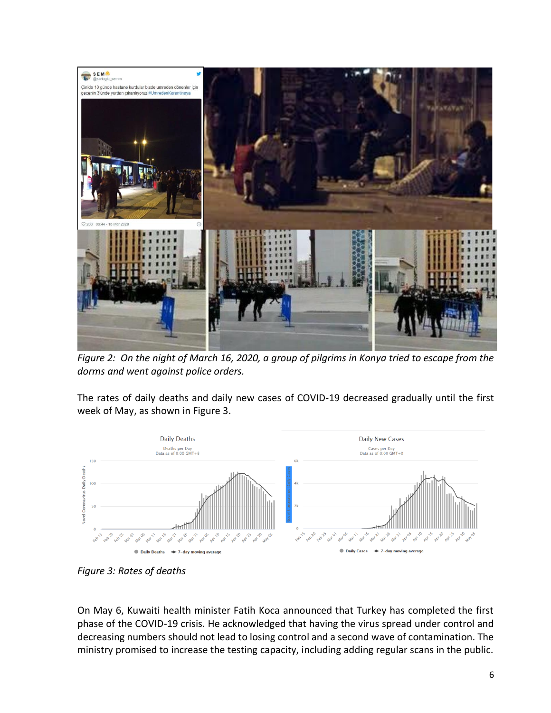

*Figure 2: On the night of March 16, 2020, a group of pilgrims in Konya tried to escape from the dorms and went against police orders.* 

The rates of daily deaths and daily new cases of COVID-19 decreased gradually until the first week of May, as shown in Figure 3.



*Figure 3: Rates of deaths*

On May 6, Kuwaiti health minister Fatih Koca announced that Turkey has completed the first phase of the COVID-19 crisis. He acknowledged that having the virus spread under control and decreasing numbers should not lead to losing control and a second wave of contamination. The ministry promised to increase the testing capacity, including adding regular scans in the public.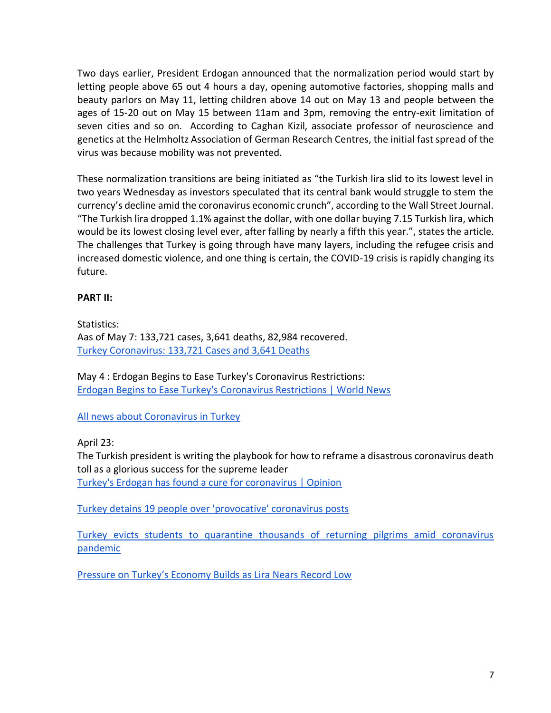Two days earlier, President Erdogan announced that the normalization period would start by letting people above 65 out 4 hours a day, opening automotive factories, shopping malls and beauty parlors on May 11, letting children above 14 out on May 13 and people between the ages of 15-20 out on May 15 between 11am and 3pm, removing the entry-exit limitation of seven cities and so on. According to Caghan Kizil, associate professor of neuroscience and genetics at the Helmholtz Association of German Research Centres, the initial fast spread of the virus was because mobility was not prevented.

These normalization transitions are being initiated as "the Turkish lira slid to its lowest level in two years Wednesday as investors speculated that its central bank would struggle to stem the currency's decline amid the coronavirus economic crunch", according to the Wall Street Journal. "The Turkish lira dropped 1.1% against the dollar, with one dollar buying 7.15 Turkish lira, which would be its lowest closing level ever, after falling by nearly a fifth this year.", states the article. The challenges that Turkey is going through have many layers, including the refugee crisis and increased domestic violence, and one thing is certain, the COVID-19 crisis is rapidly changing its future.

### **PART II:**

Statistics: Aas of May 7: 133,721 cases, 3,641 deaths, 82,984 recovered. [Turkey Coronavirus: 133,721 Cases and 3,641 Deaths](https://www.worldometers.info/coronavirus/country/turkey/)

May 4 : Erdogan Begins to Ease Turkey's Coronavirus Restrictions: [Erdogan Begins to Ease Turkey's Coronavirus Restrictions | World News](https://www.usnews.com/news/world/articles/2020-05-04/erdogan-begins-to-ease-turkeys-coronavirus-restrictions)

[All news about Coronavirus in Turkey](https://www.euronews.com/tag/coronavirus-in-turkey)

April 23:

The Turkish president is writing the playbook for how to reframe a disastrous coronavirus death toll as a glorious success for the supreme leader [Turkey's Erdogan has found a cure for coronavirus | Opinion](https://www.haaretz.com/opinion/.premium-turkey-s-erdogan-has-found-a-cure-for-coronavirus-1.8787329)

[Turkey detains 19 people over 'provocative' coronavirus posts](https://www.reuters.com/article/us-health-coronavirus-turkey/turkey-detains-19-people-over-provocative-coronavirus-posts-idUSKBN2140T9)

[Turkey evicts students to quarantine thousands of returning pilgrims amid coronavirus](https://english.alaraby.co.uk/english/news/2020/3/16/turkey-evicts-students-to-quarantine-thousands-of-pilgrims)  [pandemic](https://english.alaraby.co.uk/english/news/2020/3/16/turkey-evicts-students-to-quarantine-thousands-of-pilgrims)

Pressure on T[urkey's Economy Builds as Lira Nears Record Low](https://www.wsj.com/articles/pressure-on-turkeys-economy-builds-as-lira-heads-to-record-low-11588769981)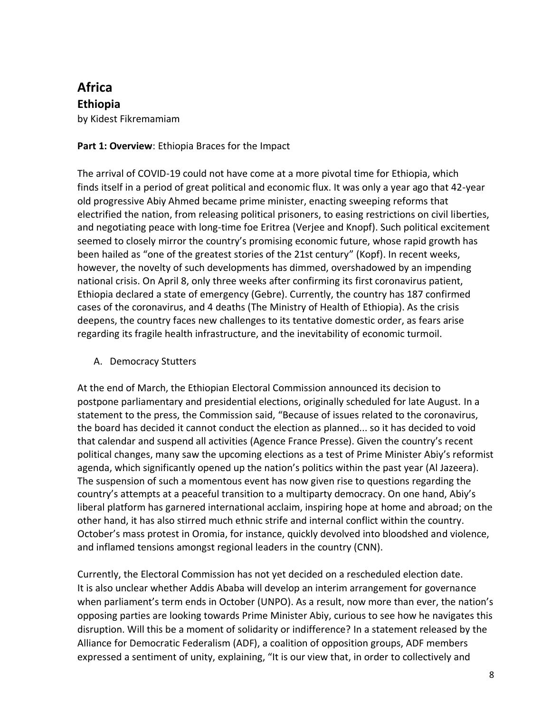# **Africa Ethiopia** by Kidest Fikremamiam

## **Part 1: Overview**: Ethiopia Braces for the Impact

The arrival of COVID-19 could not have come at a more pivotal time for Ethiopia, which finds itself in a period of great political and economic flux. It was only a year ago that 42-year old progressive Abiy Ahmed became prime minister, enacting sweeping reforms that electrified the nation, from releasing political prisoners, to easing restrictions on civil liberties, and negotiating peace with long-time foe Eritrea (Verjee and Knopf). Such political excitement seemed to closely mirror the country's promising economic future, whose rapid growth has been hailed as "one of the greatest stories of the 21st century" (Kopf). In recent weeks, however, the novelty of such developments has dimmed, overshadowed by an impending national crisis. On April 8, only three weeks after confirming its first coronavirus patient, Ethiopia declared a state of emergency (Gebre). Currently, the country has 187 confirmed cases of the coronavirus, and 4 deaths (The Ministry of Health of Ethiopia). As the crisis deepens, the country faces new challenges to its tentative domestic order, as fears arise regarding its fragile health infrastructure, and the inevitability of economic turmoil.

## A. Democracy Stutters

At the end of March, the Ethiopian Electoral Commission announced its decision to postpone parliamentary and presidential elections, originally scheduled for late August. In a statement to the press, the Commission said, "Because of issues related to the coronavirus, the board has decided it cannot conduct the election as planned... so it has decided to void that calendar and suspend all activities (Agence France Presse). Given the country's recent political changes, many saw the upcoming elections as a test of Prime Minister Abiy's reformist agenda, which significantly opened up the nation's politics within the past year (Al Jazeera). The suspension of such a momentous event has now given rise to questions regarding the country's attempts at a peaceful transition to a multiparty democracy. On one hand, Abiy's liberal platform has garnered international acclaim, inspiring hope at home and abroad; on the other hand, it has also stirred much ethnic strife and internal conflict within the country. October's mass protest in Oromia, for instance, quickly devolved into bloodshed and violence, and inflamed tensions amongst regional leaders in the country (CNN).

Currently, the Electoral Commission has not yet decided on a rescheduled election date. It is also unclear whether Addis Ababa will develop an interim arrangement for governance when parliament's term ends in October (UNPO). As a result, now more than ever, the nation's opposing parties are looking towards Prime Minister Abiy, curious to see how he navigates this disruption. Will this be a moment of solidarity or indifference? In a statement released by the Alliance for Democratic Federalism (ADF), a coalition of opposition groups, ADF members expressed a sentiment of unity, explaining, "It is our view that, in order to collectively and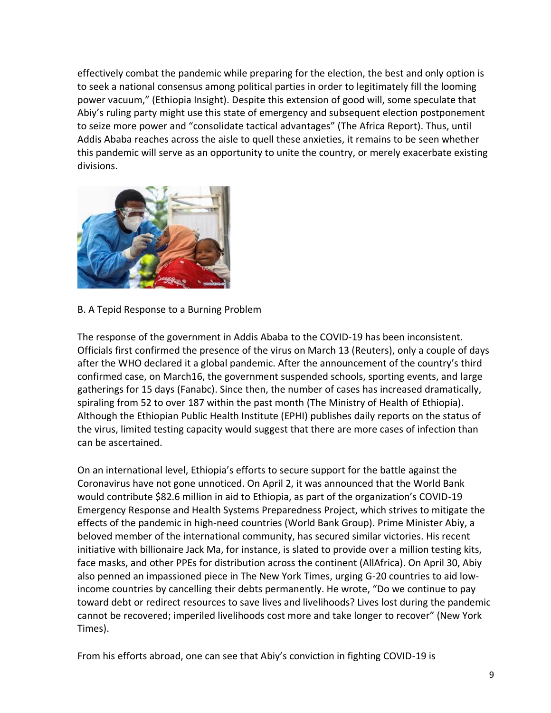effectively combat the pandemic while preparing for the election, the best and only option is to seek a national consensus among political parties in order to legitimately fill the looming power vacuum," (Ethiopia Insight). Despite this extension of good will, some speculate that Abiy's ruling party might use this state of emergency and subsequent election postponement to seize more power and "consolidate tactical advantages" (The Africa Report). Thus, until Addis Ababa reaches across the aisle to quell these anxieties, it remains to be seen whether this pandemic will serve as an opportunity to unite the country, or merely exacerbate existing divisions.



B. A Tepid Response to a Burning Problem

The response of the government in Addis Ababa to the COVID-19 has been inconsistent. Officials first confirmed the presence of the virus on March 13 (Reuters), only a couple of days after the WHO declared it a global pandemic. After the announcement of the country's third confirmed case, on March16, the government suspended schools, sporting events, and large gatherings for 15 days (Fanabc). Since then, the number of cases has increased dramatically, spiraling from 52 to over 187 within the past month (The Ministry of Health of Ethiopia). Although the Ethiopian Public Health Institute (EPHI) publishes daily reports on the status of the virus, limited testing capacity would suggest that there are more cases of infection than can be ascertained.

On an international level, Ethiopia's efforts to secure support for the battle against the Coronavirus have not gone unnoticed. On April 2, it was announced that the World Bank would contribute \$82.6 million in aid to Ethiopia, as part of the organization's COVID-19 Emergency Response and Health Systems Preparedness Project, which strives to mitigate the effects of the pandemic in high-need countries (World Bank Group). Prime Minister Abiy, a beloved member of the international community, has secured similar victories. His recent initiative with billionaire Jack Ma, for instance, is slated to provide over a million testing kits, face masks, and other PPEs for distribution across the continent (AllAfrica). On April 30, Abiy also penned an impassioned piece in The New York Times, urging G-20 countries to aid lowincome countries by cancelling their debts permanently. He wrote, "Do we continue to pay toward debt or redirect resources to save lives and livelihoods? Lives lost during the pandemic cannot be recovered; imperiled livelihoods cost more and take longer to recover" (New York Times).

From his efforts abroad, one can see that Abiy's conviction in fighting COVID-19 is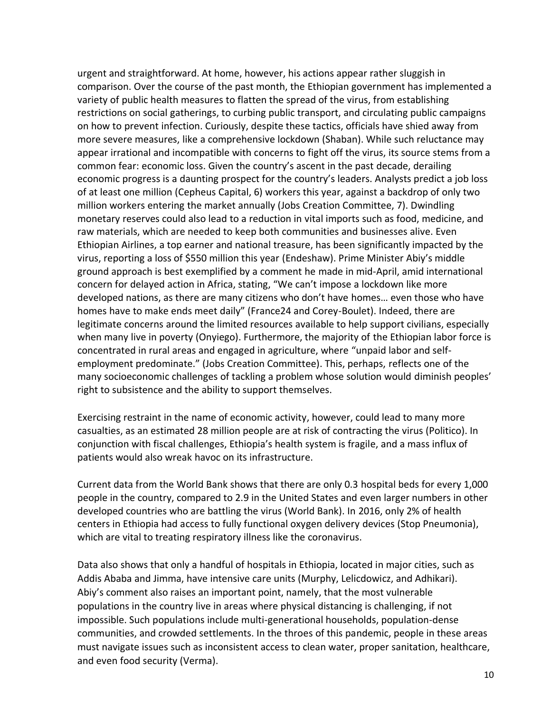urgent and straightforward. At home, however, his actions appear rather sluggish in comparison. Over the course of the past month, the Ethiopian government has implemented a variety of public health measures to flatten the spread of the virus, from establishing restrictions on social gatherings, to curbing public transport, and circulating public campaigns on how to prevent infection. Curiously, despite these tactics, officials have shied away from more severe measures, like a comprehensive lockdown (Shaban). While such reluctance may appear irrational and incompatible with concerns to fight off the virus, its source stems from a common fear: economic loss. Given the country's ascent in the past decade, derailing economic progress is a daunting prospect for the country's leaders. Analysts predict a job loss of at least one million (Cepheus Capital, 6) workers this year, against a backdrop of only two million workers entering the market annually (Jobs Creation Committee, 7). Dwindling monetary reserves could also lead to a reduction in vital imports such as food, medicine, and raw materials, which are needed to keep both communities and businesses alive. Even Ethiopian Airlines, a top earner and national treasure, has been significantly impacted by the virus, reporting a loss of \$550 million this year (Endeshaw). Prime Minister Abiy's middle ground approach is best exemplified by a comment he made in mid-April, amid international concern for delayed action in Africa, stating, "We can't impose a lockdown like more developed nations, as there are many citizens who don't have homes… even those who have homes have to make ends meet daily" (France24 and Corey-Boulet). Indeed, there are legitimate concerns around the limited resources available to help support civilians, especially when many live in poverty (Onyiego). Furthermore, the majority of the Ethiopian labor force is concentrated in rural areas and engaged in agriculture, where "unpaid labor and selfemployment predominate." (Jobs Creation Committee). This, perhaps, reflects one of the many socioeconomic challenges of tackling a problem whose solution would diminish peoples' right to subsistence and the ability to support themselves.

Exercising restraint in the name of economic activity, however, could lead to many more casualties, as an estimated 28 million people are at risk of contracting the virus (Politico). In conjunction with fiscal challenges, Ethiopia's health system is fragile, and a mass influx of patients would also wreak havoc on its infrastructure.

Current data from the World Bank shows that there are only 0.3 hospital beds for every 1,000 people in the country, compared to 2.9 in the United States and even larger numbers in other developed countries who are battling the virus (World Bank). In 2016, only 2% of health centers in Ethiopia had access to fully functional oxygen delivery devices (Stop Pneumonia), which are vital to treating respiratory illness like the coronavirus.

Data also shows that only a handful of hospitals in Ethiopia, located in major cities, such as Addis Ababa and Jimma, have intensive care units (Murphy, Lelicdowicz, and Adhikari). Abiy's comment also raises an important point, namely, that the most vulnerable populations in the country live in areas where physical distancing is challenging, if not impossible. Such populations include multi-generational households, population-dense communities, and crowded settlements. In the throes of this pandemic, people in these areas must navigate issues such as inconsistent access to clean water, proper sanitation, healthcare, and even food security (Verma).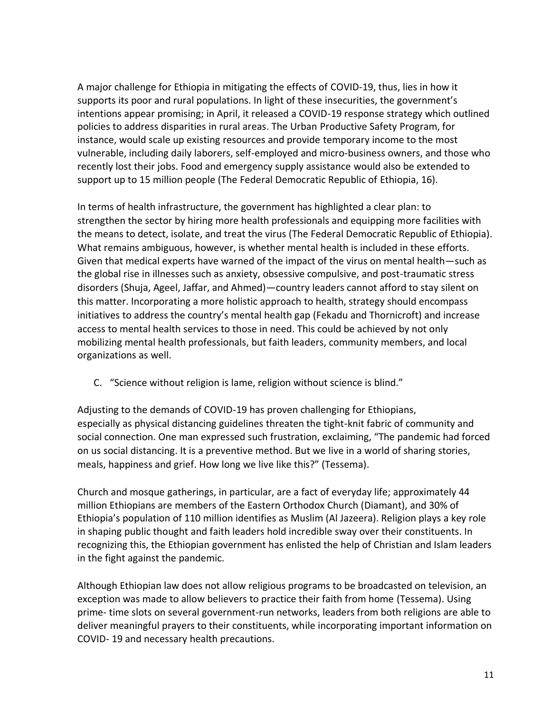A major challenge for Ethiopia in mitigating the effects of COVID-19, thus, lies in how it supports its poor and rural populations. In light of these insecurities, the government's intentions appear promising; in April, it released a COVID-19 response strategy which outlined policies to address disparities in rural areas. The Urban Productive Safety Program, for instance, would scale up existing resources and provide temporary income to the most vulnerable, including daily laborers, self-employed and micro-business owners, and those who recently lost their jobs. Food and emergency supply assistance would also be extended to support up to 15 million people (The Federal Democratic Republic of Ethiopia, 16).

In terms of health infrastructure, the government has highlighted a clear plan: to strengthen the sector by hiring more health professionals and equipping more facilities with the means to detect, isolate, and treat the virus (The Federal Democratic Republic of Ethiopia). What remains ambiguous, however, is whether mental health is included in these efforts. Given that medical experts have warned of the impact of the virus on mental health—such as the global rise in illnesses such as anxiety, obsessive compulsive, and post-traumatic stress disorders (Shuja, Ageel, Jaffar, and Ahmed)—country leaders cannot afford to stay silent on this matter. Incorporating a more holistic approach to health, strategy should encompass initiatives to address the country's mental health gap (Fekadu and Thornicroft) and increase access to mental health services to those in need. This could be achieved by not only mobilizing mental health professionals, but faith leaders, community members, and local organizations as well.

C. "Science without religion is lame, religion without science is blind."

Adjusting to the demands of COVID-19 has proven challenging for Ethiopians, especially as physical distancing guidelines threaten the tight-knit fabric of community and social connection. One man expressed such frustration, exclaiming, "The pandemic had forced on us social distancing. It is a preventive method. But we live in a world of sharing stories, meals, happiness and grief. How long we live like this?" (Tessema).

Church and mosque gatherings, in particular, are a fact of everyday life; approximately 44 million Ethiopians are members of the Eastern Orthodox Church (Diamant), and 30% of Ethiopia's population of 110 million identifies as Muslim (Al Jazeera). Religion plays a key role in shaping public thought and faith leaders hold incredible sway over their constituents. In recognizing this, the Ethiopian government has enlisted the help of Christian and Islam leaders in the fight against the pandemic.

Although Ethiopian law does not allow religious programs to be broadcasted on television, an exception was made to allow believers to practice their faith from home (Tessema). Using prime- time slots on several government-run networks, leaders from both religions are able to deliver meaningful prayers to their constituents, while incorporating important information on COVID- 19 and necessary health precautions.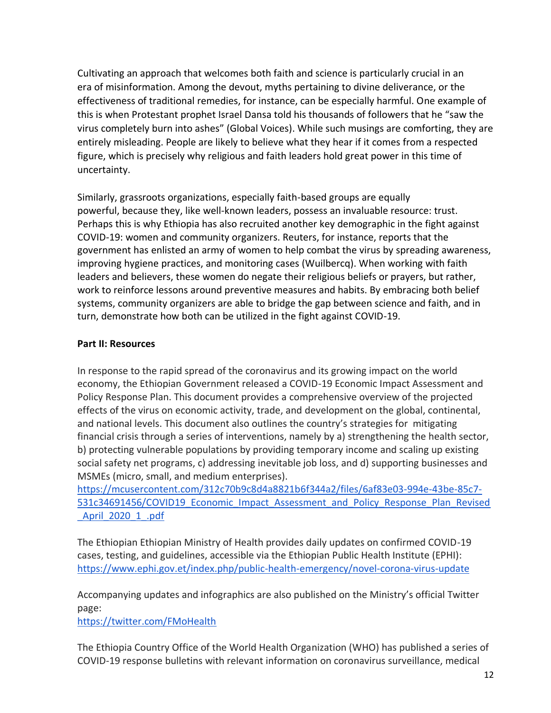Cultivating an approach that welcomes both faith and science is particularly crucial in an era of misinformation. Among the devout, myths pertaining to divine deliverance, or the effectiveness of traditional remedies, for instance, can be especially harmful. One example of this is when Protestant prophet Israel Dansa told his thousands of followers that he "saw the virus completely burn into ashes" (Global Voices). While such musings are comforting, they are entirely misleading. People are likely to believe what they hear if it comes from a respected figure, which is precisely why religious and faith leaders hold great power in this time of uncertainty.

Similarly, grassroots organizations, especially faith-based groups are equally powerful, because they, like well-known leaders, possess an invaluable resource: trust. Perhaps this is why Ethiopia has also recruited another key demographic in the fight against COVID-19: women and community organizers. Reuters, for instance, reports that the government has enlisted an army of women to help combat the virus by spreading awareness, improving hygiene practices, and monitoring cases (Wuilbercq). When working with faith leaders and believers, these women do negate their religious beliefs or prayers, but rather, work to reinforce lessons around preventive measures and habits. By embracing both belief systems, community organizers are able to bridge the gap between science and faith, and in turn, demonstrate how both can be utilized in the fight against COVID-19.

### **Part II: Resources**

In response to the rapid spread of the coronavirus and its growing impact on the world economy, the Ethiopian Government released a COVID-19 Economic Impact Assessment and Policy Response Plan. This document provides a comprehensive overview of the projected effects of the virus on economic activity, trade, and development on the global, continental, and national levels. This document also outlines the country's strategies for mitigating financial crisis through a series of interventions, namely by a) strengthening the health sector, b) protecting vulnerable populations by providing temporary income and scaling up existing social safety net programs, c) addressing inevitable job loss, and d) supporting businesses and MSMEs (micro, small, and medium enterprises).

[https://mcusercontent.com/312c70b9c8d4a8821b6f344a2/files/6af83e03-994e-43be-85c7-](https://mcusercontent.com/312c70b9c8d4a8821b6f344a2/files/6af83e03-994e-43be-85c7-531c34691456/COVID19_Economic_Impact_Assessment_and_Policy_Response_Plan_Revised_April_2020_1_.pdf) [531c34691456/COVID19\\_Economic\\_Impact\\_Assessment\\_and\\_Policy\\_Response\\_Plan\\_Revised](https://mcusercontent.com/312c70b9c8d4a8821b6f344a2/files/6af83e03-994e-43be-85c7-531c34691456/COVID19_Economic_Impact_Assessment_and_Policy_Response_Plan_Revised_April_2020_1_.pdf) [\\_April\\_2020\\_1\\_.pdf](https://mcusercontent.com/312c70b9c8d4a8821b6f344a2/files/6af83e03-994e-43be-85c7-531c34691456/COVID19_Economic_Impact_Assessment_and_Policy_Response_Plan_Revised_April_2020_1_.pdf)

The Ethiopian Ethiopian Ministry of Health provides daily updates on confirmed COVID-19 cases, testing, and guidelines, accessible via the Ethiopian Public Health Institute (EPHI): <https://www.ephi.gov.et/index.php/public-health-emergency/novel-corona-virus-update>

Accompanying updates and infographics are also published on the Ministry's official Twitter page:

<https://twitter.com/FMoHealth>

The Ethiopia Country Office of the World Health Organization (WHO) has published a series of COVID-19 response bulletins with relevant information on coronavirus surveillance, medical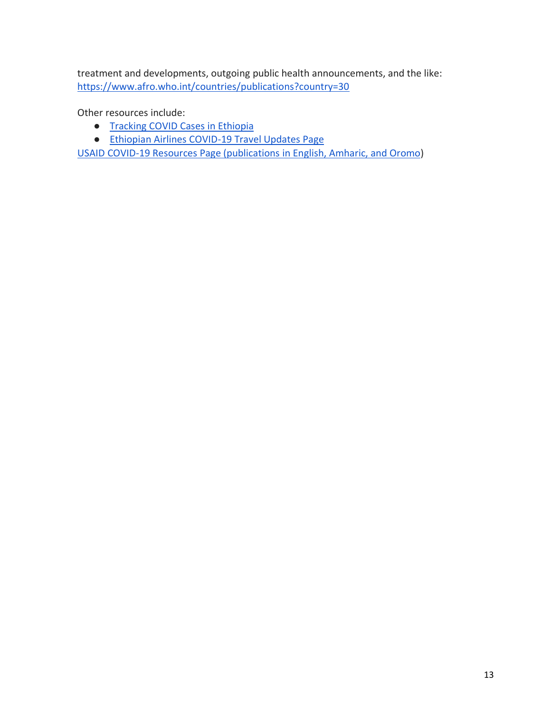treatment and developments, outgoing public health announcements, and the like: <https://www.afro.who.int/countries/publications?country=30>

Other resources include:

- [Tracking COVID Cases in Ethiopia](https://public.tableau.com/profile/mahletkonjitsolomon#!/vizhome/EthiopiaCOVID-19Cases/CaseMap)
- [Ethiopian Airlines COVID-19 Travel Updates Page](https://www.ethiopianairlines.com/aa/travel-updates/covid-19)

[USAID COVID-19 Resources Page \(publications in English, Amharic, and Oromo\)](https://www.usaid.gov/ethiopia/covid-19-resources)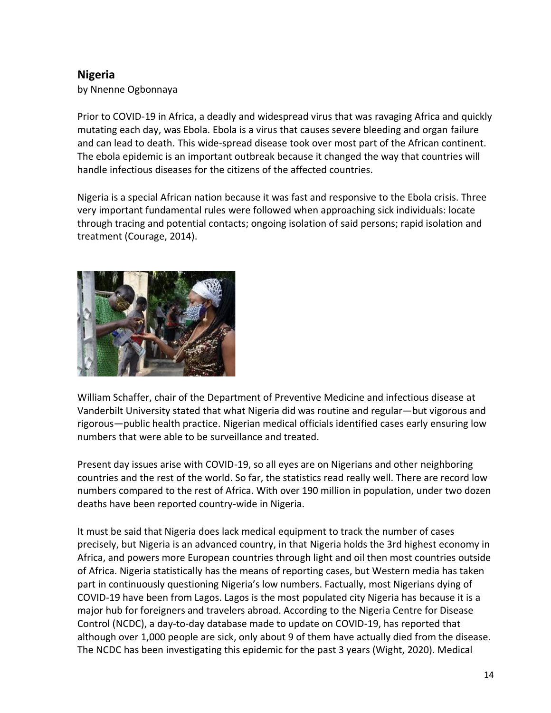# **Nigeria**

by Nnenne Ogbonnaya

Prior to COVID-19 in Africa, a deadly and widespread virus that was ravaging Africa and quickly mutating each day, was Ebola. Ebola is a virus that causes severe bleeding and organ failure and can lead to death. This wide-spread disease took over most part of the African continent. The ebola epidemic is an important outbreak because it changed the way that countries will handle infectious diseases for the citizens of the affected countries.

Nigeria is a special African nation because it was fast and responsive to the Ebola crisis. Three very important fundamental rules were followed when approaching sick individuals: locate through tracing and potential contacts; ongoing isolation of said persons; rapid isolation and treatment (Courage, 2014).



William Schaffer, chair of the Department of Preventive Medicine and infectious disease at Vanderbilt University stated that what Nigeria did was routine and regular—but vigorous and rigorous—public health practice. Nigerian medical officials identified cases early ensuring low numbers that were able to be surveillance and treated.

Present day issues arise with COVID-19, so all eyes are on Nigerians and other neighboring countries and the rest of the world. So far, the statistics read really well. There are record low numbers compared to the rest of Africa. With over 190 million in population, under two dozen deaths have been reported country-wide in Nigeria.

It must be said that Nigeria does lack medical equipment to track the number of cases precisely, but Nigeria is an advanced country, in that Nigeria holds the 3rd highest economy in Africa, and powers more European countries through light and oil then most countries outside of Africa. Nigeria statistically has the means of reporting cases, but Western media has taken part in continuously questioning Nigeria's low numbers. Factually, most Nigerians dying of COVID-19 have been from Lagos. Lagos is the most populated city Nigeria has because it is a major hub for foreigners and travelers abroad. According to the Nigeria Centre for Disease Control (NCDC), a day-to-day database made to update on COVID-19, has reported that although over 1,000 people are sick, only about 9 of them have actually died from the disease. The NCDC has been investigating this epidemic for the past 3 years (Wight, 2020). Medical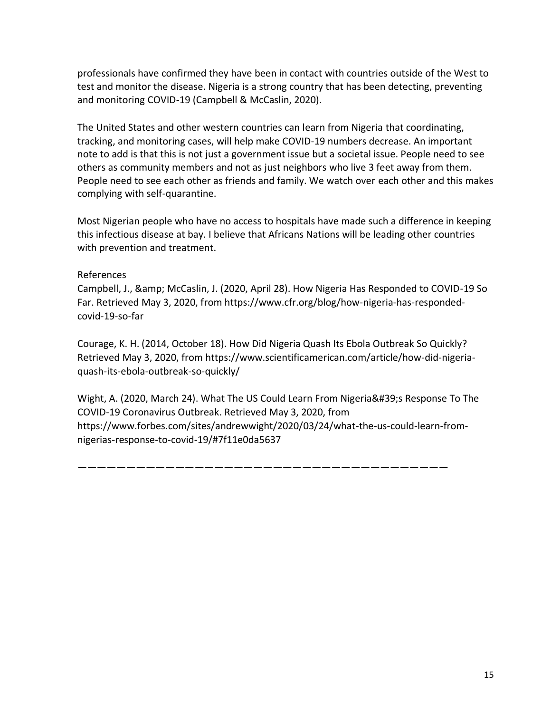professionals have confirmed they have been in contact with countries outside of the West to test and monitor the disease. Nigeria is a strong country that has been detecting, preventing and monitoring COVID-19 (Campbell & McCaslin, 2020).

The United States and other western countries can learn from Nigeria that coordinating, tracking, and monitoring cases, will help make COVID-19 numbers decrease. An important note to add is that this is not just a government issue but a societal issue. People need to see others as community members and not as just neighbors who live 3 feet away from them. People need to see each other as friends and family. We watch over each other and this makes complying with self-quarantine.

Most Nigerian people who have no access to hospitals have made such a difference in keeping this infectious disease at bay. I believe that Africans Nations will be leading other countries with prevention and treatment.

#### References

Campbell, J., & McCaslin, J. (2020, April 28). How Nigeria Has Responded to COVID-19 So Far. Retrieved May 3, 2020, from https://www.cfr.org/blog/how-nigeria-has-respondedcovid-19-so-far

Courage, K. H. (2014, October 18). How Did Nigeria Quash Its Ebola Outbreak So Quickly? Retrieved May 3, 2020, from https://www.scientificamerican.com/article/how-did-nigeriaquash-its-ebola-outbreak-so-quickly/

Wight, A. (2020, March 24). What The US Could Learn From Nigeria's Response To The COVID-19 Coronavirus Outbreak. Retrieved May 3, 2020, from https://www.forbes.com/sites/andrewwight/2020/03/24/what-the-us-could-learn-fromnigerias-response-to-covid-19/#7f11e0da5637

——————————————————————————————————————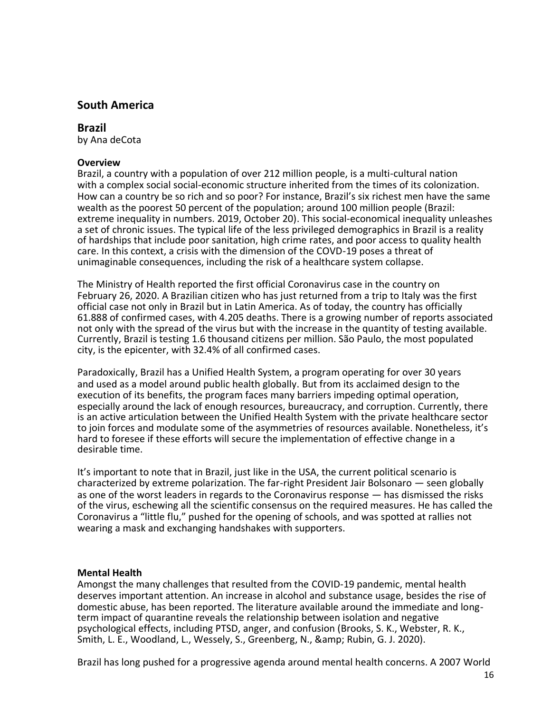# **South America**

### **Brazil**

by Ana deCota

#### **Overview**

Brazil, a country with a population of over 212 million people, is a multi-cultural nation with a complex social social-economic structure inherited from the times of its colonization. How can a country be so rich and so poor? For instance, Brazil's six richest men have the same wealth as the poorest 50 percent of the population; around 100 million people (Brazil: extreme inequality in numbers. 2019, October 20). This social-economical inequality unleashes a set of chronic issues. The typical life of the less privileged demographics in Brazil is a reality of hardships that include poor sanitation, high crime rates, and poor access to quality health care. In this context, a crisis with the dimension of the COVD-19 poses a threat of unimaginable consequences, including the risk of a healthcare system collapse.

The Ministry of Health reported the first official Coronavirus case in the country on February 26, 2020. A Brazilian citizen who has just returned from a trip to Italy was the first official case not only in Brazil but in Latin America. As of today, the country has officially 61.888 of confirmed cases, with 4.205 deaths. There is a growing number of reports associated not only with the spread of the virus but with the increase in the quantity of testing available. Currently, Brazil is testing 1.6 thousand citizens per million. São Paulo, the most populated city, is the epicenter, with 32.4% of all confirmed cases.

Paradoxically, Brazil has a Unified Health System, a program operating for over 30 years and used as a model around public health globally. But from its acclaimed design to the execution of its benefits, the program faces many barriers impeding optimal operation, especially around the lack of enough resources, bureaucracy, and corruption. Currently, there is an active articulation between the Unified Health System with the private healthcare sector to join forces and modulate some of the asymmetries of resources available. Nonetheless, it's hard to foresee if these efforts will secure the implementation of effective change in a desirable time.

It's important to note that in Brazil, just like in the USA, the current political scenario is characterized by extreme polarization. The far-right President Jair Bolsonaro — seen globally as one of the worst leaders in regards to the Coronavirus response — has dismissed the risks of the virus, eschewing all the scientific consensus on the required measures. He has called the Coronavirus a "little flu," pushed for the opening of schools, and was spotted at rallies not wearing a mask and exchanging handshakes with supporters.

#### **Mental Health**

Amongst the many challenges that resulted from the COVID-19 pandemic, mental health deserves important attention. An increase in alcohol and substance usage, besides the rise of domestic abuse, has been reported. The literature available around the immediate and longterm impact of quarantine reveals the relationship between isolation and negative psychological effects, including PTSD, anger, and confusion (Brooks, S. K., Webster, R. K., Smith, L. E., Woodland, L., Wessely, S., Greenberg, N., & amp; Rubin, G. J. 2020).

Brazil has long pushed for a progressive agenda around mental health concerns. A 2007 World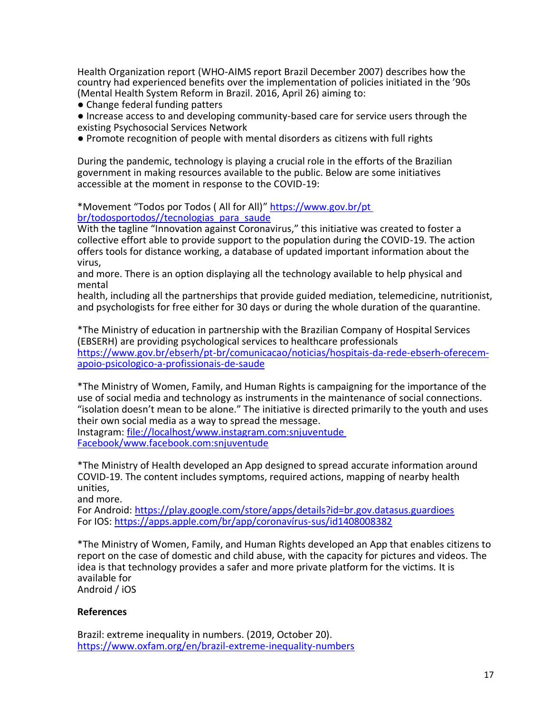Health Organization report (WHO-AIMS report Brazil December 2007) describes how the country had experienced benefits over the implementation of policies initiated in the '90s (Mental Health System Reform in Brazil. 2016, April 26) aiming to:

● Change federal funding patters

● Increase access to and developing community-based care for service users through the existing Psychosocial Services Network

● Promote recognition of people with mental disorders as citizens with full rights

During the pandemic, technology is playing a crucial role in the efforts of the Brazilian government in making resources available to the public. Below are some initiatives accessible at the moment in response to the COVID-19:

\*Movement "Todos por Todos ( All for All)" [https://www.gov.br/pt](https://www.gov.br/pt%20br/todosportodos/tecnologias_para_saude)  [br/todosportodos//tecnologias\\_para\\_saude](https://www.gov.br/pt%20br/todosportodos/tecnologias_para_saude)

With the tagline "Innovation against Coronavirus," this initiative was created to foster a collective effort able to provide support to the population during the COVID-19. The action offers tools for distance working, a database of updated important information about the virus,

and more. There is an option displaying all the technology available to help physical and mental

health, including all the partnerships that provide guided mediation, telemedicine, nutritionist, and psychologists for free either for 30 days or during the whole duration of the quarantine.

\*The Ministry of education in partnership with the Brazilian Company of Hospital Services (EBSERH) are providing psychological services to healthcare professionals [https://www.gov.br/ebserh/pt-br/comunicacao/noticias/hospitais-da-rede-ebserh-oferecem](https://www.gov.br/ebserh/pt-br/comunicacao/noticias/hospitais-da-rede-ebserh-oferecem-%20apoio-psicologico-a-profissionais-de-saude)[apoio-psicologico-a-profissionais-de-saude](https://www.gov.br/ebserh/pt-br/comunicacao/noticias/hospitais-da-rede-ebserh-oferecem-%20apoio-psicologico-a-profissionais-de-saude)

\*The Ministry of Women, Family, and Human Rights is campaigning for the importance of the use of social media and technology as instruments in the maintenance of social connections. "isolation doesn't mean to be alone." The initiative is directed primarily to the youth and uses their own social media as a way to spread the message.

Instagram: [file://localhost/www.instagram.com:snjuventude](/www.instagram.com:snjuventude%20Facebook/www.facebook.com:snjuventude)  [Facebook/www.facebook.com:snjuventude](/www.instagram.com:snjuventude%20Facebook/www.facebook.com:snjuventude)

\*The Ministry of Health developed an App designed to spread accurate information around COVID-19. The content includes symptoms, required actions, mapping of nearby health unities,

and more.

For Android: <https://play.google.com/store/apps/details?id=br.gov.datasus.guardioes> For IOS: [https://apps.apple.com/br/app/coronavírus-sus/id1408008382](https://apps.apple.com/br/app/coronav%C3%ADrus-sus/id1408008382)

\*The Ministry of Women, Family, and Human Rights developed an App that enables citizens to report on the case of domestic and child abuse, with the capacity for pictures and videos. The idea is that technology provides a safer and more private platform for the victims. It is available for Android / iOS

#### **References**

Brazil: extreme inequality in numbers. (2019, October 20). <https://www.oxfam.org/en/brazil-extreme-inequality-numbers>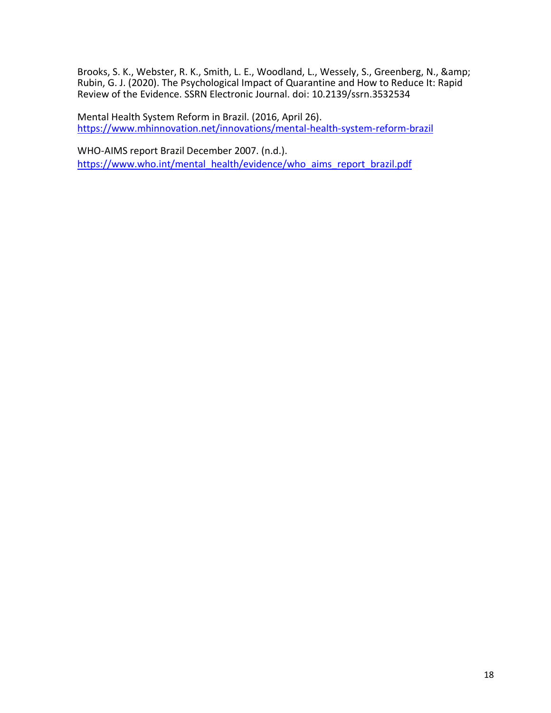Brooks, S. K., Webster, R. K., Smith, L. E., Woodland, L., Wessely, S., Greenberg, N., & Rubin, G. J. (2020). The Psychological Impact of Quarantine and How to Reduce It: Rapid Review of the Evidence. SSRN Electronic Journal. doi: 10.2139/ssrn.3532534

Mental Health System Reform in Brazil. (2016, April 26). <https://www.mhinnovation.net/innovations/mental-health-system-reform-brazil>

WHO-AIMS report Brazil December 2007. (n.d.). [https://www.who.int/mental\\_health/evidence/who\\_aims\\_report\\_brazil.pdf](https://www.who.int/mental_health/evidence/who_aims_report_brazil.pdf)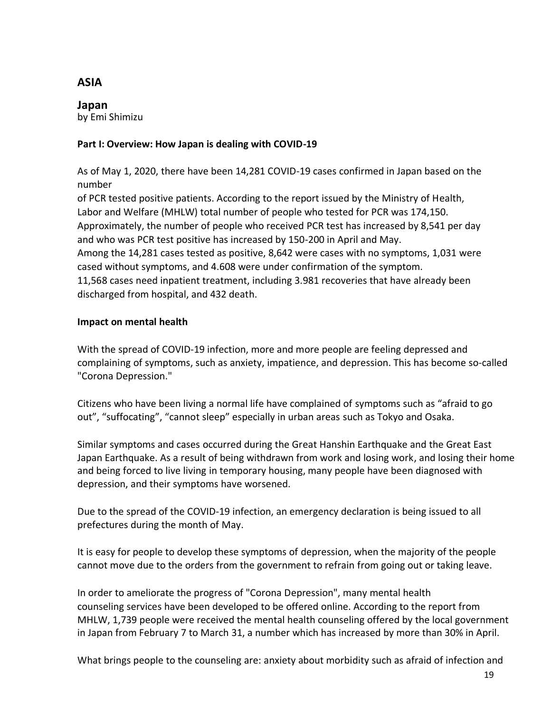# **ASIA**

**Japan** by Emi Shimizu

## **Part I: Overview: How Japan is dealing with COVID-19**

As of May 1, 2020, there have been 14,281 COVID-19 cases confirmed in Japan based on the number

of PCR tested positive patients. According to the report issued by the Ministry of Health, Labor and Welfare (MHLW) total number of people who tested for PCR was 174,150. Approximately, the number of people who received PCR test has increased by 8,541 per day and who was PCR test positive has increased by 150-200 in April and May. Among the 14,281 cases tested as positive, 8,642 were cases with no symptoms, 1,031 were cased without symptoms, and 4.608 were under confirmation of the symptom. 11,568 cases need inpatient treatment, including 3.981 recoveries that have already been discharged from hospital, and 432 death.

## **Impact on mental health**

With the spread of COVID-19 infection, more and more people are feeling depressed and complaining of symptoms, such as anxiety, impatience, and depression. This has become so-called "Corona Depression."

Citizens who have been living a normal life have complained of symptoms such as "afraid to go out", "suffocating", "cannot sleep" especially in urban areas such as Tokyo and Osaka.

Similar symptoms and cases occurred during the Great Hanshin Earthquake and the Great East Japan Earthquake. As a result of being withdrawn from work and losing work, and losing their home and being forced to live living in temporary housing, many people have been diagnosed with depression, and their symptoms have worsened.

Due to the spread of the COVID-19 infection, an emergency declaration is being issued to all prefectures during the month of May.

It is easy for people to develop these symptoms of depression, when the majority of the people cannot move due to the orders from the government to refrain from going out or taking leave.

In order to ameliorate the progress of "Corona Depression", many mental health counseling services have been developed to be offered online. According to the report from MHLW, 1,739 people were received the mental health counseling offered by the local government in Japan from February 7 to March 31, a number which has increased by more than 30% in April.

What brings people to the counseling are: anxiety about morbidity such as afraid of infection and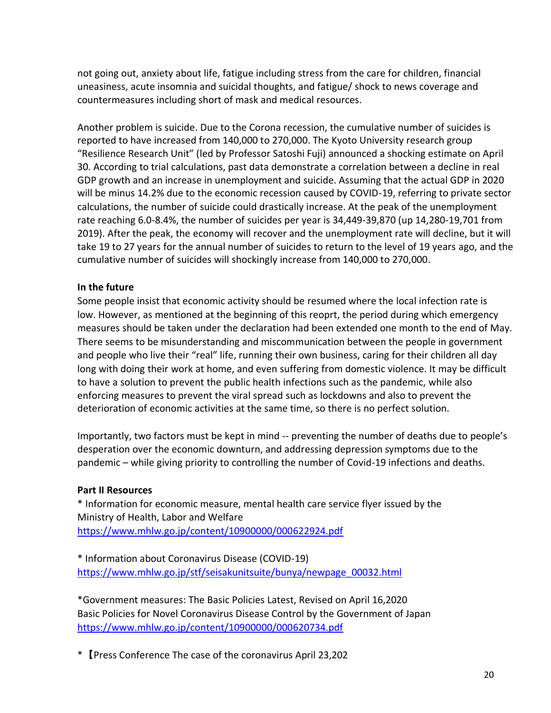not going out, anxiety about life, fatigue including stress from the care for children, financial uneasiness, acute insomnia and suicidal thoughts, and fatigue/ shock to news coverage and countermeasures including short of mask and medical resources.

Another problem is suicide. Due to the Corona recession, the cumulative number of suicides is reported to have increased from 140,000 to 270,000. The Kyoto University research group "Resilience Research Unit" (led by Professor Satoshi Fuji) announced a shocking estimate on April 30. According to trial calculations, past data demonstrate a correlation between a decline in real GDP growth and an increase in unemployment and suicide. Assuming that the actual GDP in 2020 will be minus 14.2% due to the economic recession caused by COVID-19, referring to private sector calculations, the number of suicide could drastically increase. At the peak of the unemployment rate reaching 6.0-8.4%, the number of suicides per year is 34,449-39,870 (up 14,280-19,701 from 2019). After the peak, the economy will recover and the unemployment rate will decline, but it will take 19 to 27 years for the annual number of suicides to return to the level of 19 years ago, and the cumulative number of suicides will shockingly increase from 140,000 to 270,000.

### **In the future**

Some people insist that economic activity should be resumed where the local infection rate is low. However, as mentioned at the beginning of this reoprt, the period during which emergency measures should be taken under the declaration had been extended one month to the end of May. There seems to be misunderstanding and miscommunication between the people in government and people who live their "real" life, running their own business, caring for their children all day long with doing their work at home, and even suffering from domestic violence. It may be difficult to have a solution to prevent the public health infections such as the pandemic, while also enforcing measures to prevent the viral spread such as lockdowns and also to prevent the deterioration of economic activities at the same time, so there is no perfect solution.

Importantly, two factors must be kept in mind -- preventing the number of deaths due to people's desperation over the economic downturn, and addressing depression symptoms due to the pandemic – while giving priority to controlling the number of Covid-19 infections and deaths.

#### **Part II Resources**

\* Information for economic measure, mental health care service flyer issued by the Ministry of Health, Labor and Welfare <https://www.mhlw.go.jp/content/10900000/000622924.pdf>

\* Information about Coronavirus Disease (COVID-19) [https://www.mhlw.go.jp/stf/seisakunitsuite/bunya/newpage\\_00032.html](https://www.mhlw.go.jp/stf/seisakunitsuite/bunya/newpage_00032.html)

\*Government measures: The Basic Policies Latest, Revised on April 16,2020 Basic Policies for Novel Coronavirus Disease Control by the Government of Japan <https://www.mhlw.go.jp/content/10900000/000620734.pdf>

\*【Press Conference The case of the coronavirus April 23,202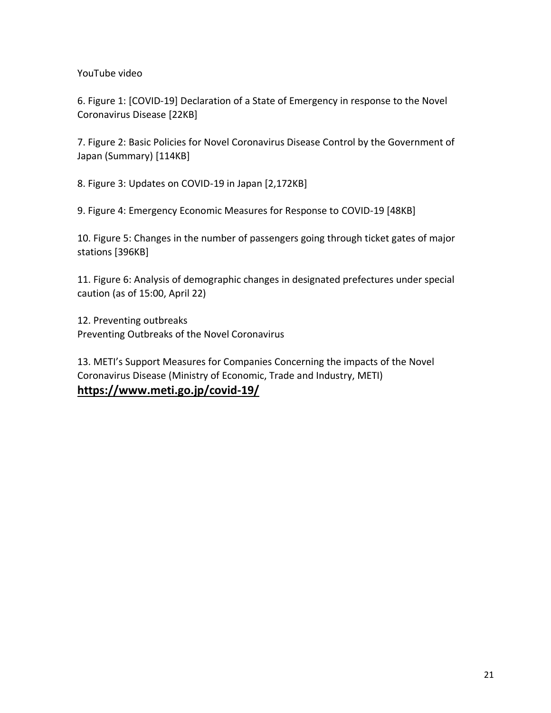YouTube video

6. Figure 1: [COVID-19] Declaration of a State of Emergency in response to the Novel Coronavirus Disease [22KB]

7. Figure 2: Basic Policies for Novel Coronavirus Disease Control by the Government of Japan (Summary) [114KB]

8. Figure 3: Updates on COVID-19 in Japan [2,172KB]

9. Figure 4: Emergency Economic Measures for Response to COVID-19 [48KB]

10. Figure 5: Changes in the number of passengers going through ticket gates of major stations [396KB]

11. Figure 6: Analysis of demographic changes in designated prefectures under special caution (as of 15:00, April 22)

12. Preventing outbreaks Preventing Outbreaks of the Novel Coronavirus

13. METI's Support Measures for Companies Concerning the impacts of the Novel Coronavirus Disease (Ministry of Economic, Trade and Industry, METI) **[https://www.meti.go.jp/covid-19/](https://www.meti.go.jp/covid-19/China)**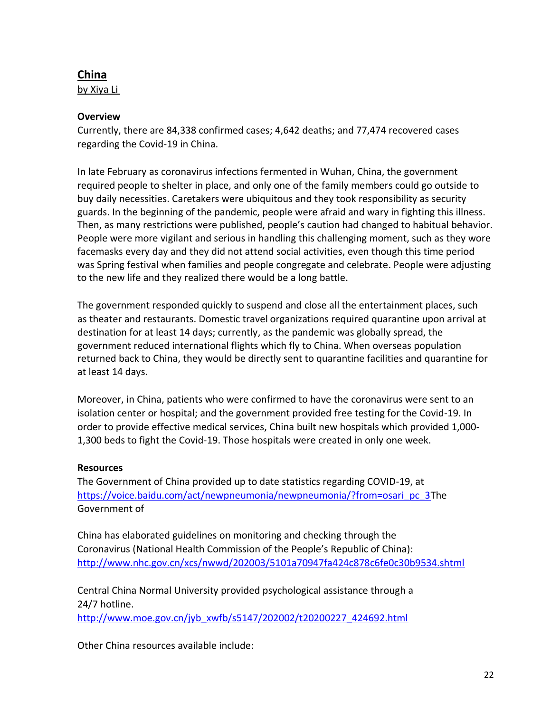# **[China](https://www.meti.go.jp/covid-19/China)**

by Xiya Li

# **Overview**

Currently, there are 84,338 confirmed cases; 4,642 deaths; and 77,474 recovered cases regarding the Covid-19 in China.

In late February as coronavirus infections fermented in Wuhan, China, the government required people to shelter in place, and only one of the family members could go outside to buy daily necessities. Caretakers were ubiquitous and they took responsibility as security guards. In the beginning of the pandemic, people were afraid and wary in fighting this illness. Then, as many restrictions were published, people's caution had changed to habitual behavior. People were more vigilant and serious in handling this challenging moment, such as they wore facemasks every day and they did not attend social activities, even though this time period was Spring festival when families and people congregate and celebrate. People were adjusting to the new life and they realized there would be a long battle.

The government responded quickly to suspend and close all the entertainment places, such as theater and restaurants. Domestic travel organizations required quarantine upon arrival at destination for at least 14 days; currently, as the pandemic was globally spread, the government reduced international flights which fly to China. When overseas population returned back to China, they would be directly sent to quarantine facilities and quarantine for at least 14 days.

Moreover, in China, patients who were confirmed to have the coronavirus were sent to an isolation center or hospital; and the government provided free testing for the Covid-19. In order to provide effective medical services, China built new hospitals which provided 1,000- 1,300 beds to fight the Covid-19. Those hospitals were created in only one week.

# **Resources**

The Government of China provided up to date statistics regarding COVID-19, at [https://voice.baidu.com/act/newpneumonia/newpneumonia/?from=osari\\_pc\\_3T](https://voice.baidu.com/act/newpneumonia/newpneumonia/?from=osari_pc_3)he Government of

China has elaborated guidelines on monitoring and checking through the Coronavirus (National Health Commission of the People's Republic of China): <http://www.nhc.gov.cn/xcs/nwwd/202003/5101a70947fa424c878c6fe0c30b9534.shtml>

Central China Normal University provided psychological assistance through a 24/7 hotline.

[http://www.moe.gov.cn/jyb\\_xwfb/s5147/202002/t20200227\\_424692.html](http://www.moe.gov.cn/jyb_xwfb/s5147/202002/t20200227_424692.html)

Other China resources available include: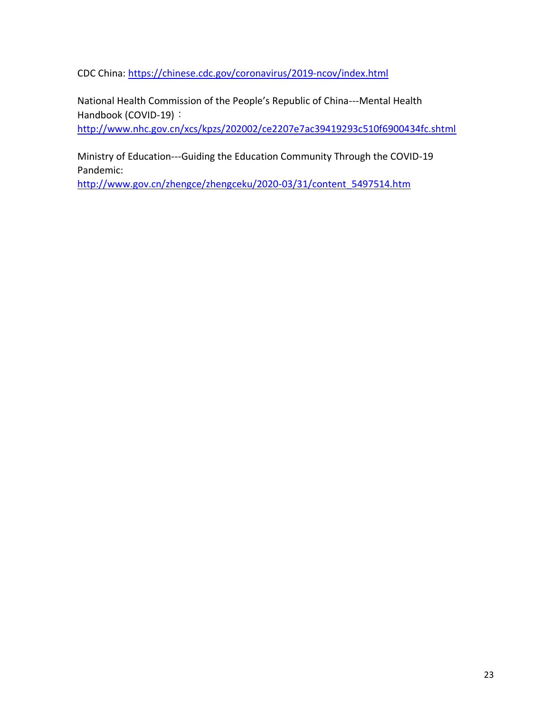CDC China: <https://chinese.cdc.gov/coronavirus/2019-ncov/index.html>

National Health Commission of the People's Republic of China---Mental Health Handbook (COVID-19):

<http://www.nhc.gov.cn/xcs/kpzs/202002/ce2207e7ac39419293c510f6900434fc.shtml>

Ministry of Education---Guiding the Education Community Through the COVID-19 Pandemic:

[http://www.gov.cn/zhengce/zhengceku/2020-03/31/content\\_5497514.htm](http://www.gov.cn/zhengce/zhengceku/2020-03/31/content_5497514.htm)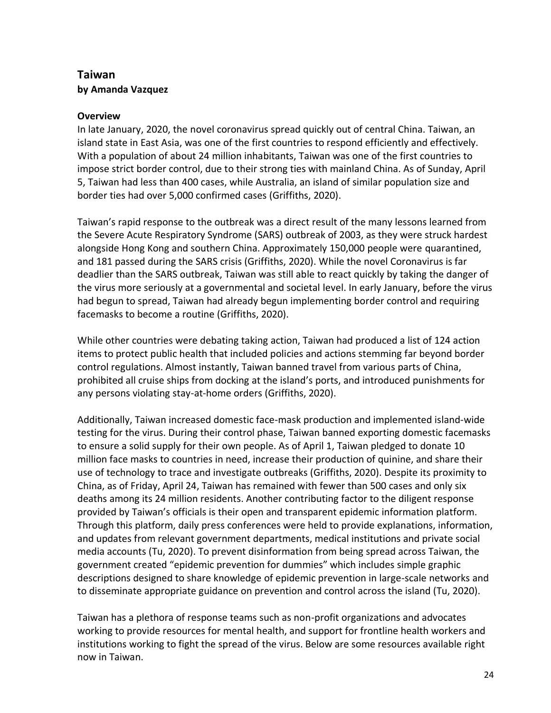# **Taiwan by Amanda Vazquez**

## **Overview**

In late January, 2020, the novel coronavirus spread quickly out of central China. Taiwan, an island state in East Asia, was one of the first countries to respond efficiently and effectively. With a population of about 24 million inhabitants, Taiwan was one of the first countries to impose strict border control, due to their strong ties with mainland China. As of Sunday, April 5, Taiwan had less than 400 cases, while Australia, an island of similar population size and border ties had over 5,000 confirmed cases (Griffiths, 2020).

Taiwan's rapid response to the outbreak was a direct result of the many lessons learned from the Severe Acute Respiratory Syndrome (SARS) outbreak of 2003, as they were struck hardest alongside Hong Kong and southern China. Approximately 150,000 people were quarantined, and 181 passed during the SARS crisis (Griffiths, 2020). While the novel Coronavirus is far deadlier than the SARS outbreak, Taiwan was still able to react quickly by taking the danger of the virus more seriously at a governmental and societal level. In early January, before the virus had begun to spread, Taiwan had already begun implementing border control and requiring facemasks to become a routine (Griffiths, 2020).

While other countries were debating taking action, Taiwan had produced a list of 124 action items to protect public health that included policies and actions stemming far beyond border control regulations. Almost instantly, Taiwan banned travel from various parts of China, prohibited all cruise ships from docking at the island's ports, and introduced punishments for any persons violating stay-at-home orders (Griffiths, 2020).

Additionally, Taiwan increased domestic face-mask production and implemented island-wide testing for the virus. During their control phase, Taiwan banned exporting domestic facemasks to ensure a solid supply for their own people. As of April 1, Taiwan pledged to donate 10 million face masks to countries in need, increase their production of quinine, and share their use of technology to trace and investigate outbreaks (Griffiths, 2020). Despite its proximity to China, as of Friday, April 24, Taiwan has remained with fewer than 500 cases and only six deaths among its 24 million residents. Another contributing factor to the diligent response provided by Taiwan's officials is their open and transparent epidemic information platform. Through this platform, daily press conferences were held to provide explanations, information, and updates from relevant government departments, medical institutions and private social media accounts (Tu, 2020). To prevent disinformation from being spread across Taiwan, the government created "epidemic prevention for dummies" which includes simple graphic descriptions designed to share knowledge of epidemic prevention in large-scale networks and to disseminate appropriate guidance on prevention and control across the island (Tu, 2020).

Taiwan has a plethora of response teams such as non-profit organizations and advocates working to provide resources for mental health, and support for frontline health workers and institutions working to fight the spread of the virus. Below are some resources available right now in Taiwan.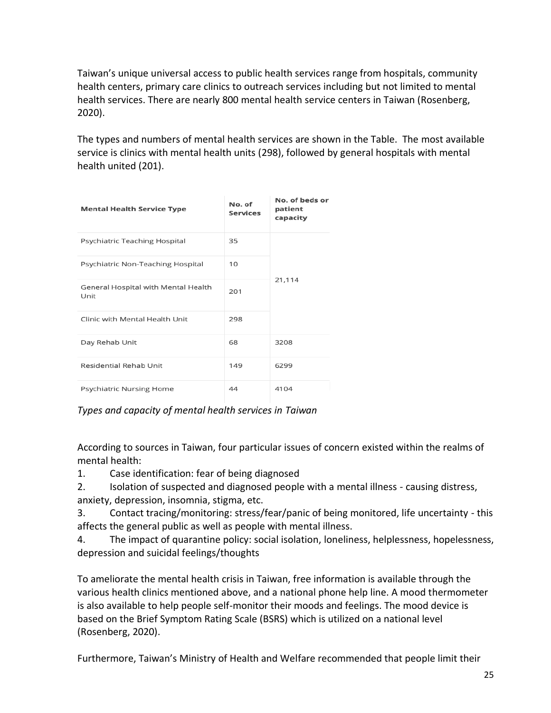Taiwan's unique universal access to public health services range from hospitals, community health centers, primary care clinics to outreach services including but not limited to mental health services. There are nearly 800 mental health service centers in Taiwan (Rosenberg, 2020).

The types and numbers of mental health services are shown in the Table. The most available service is clinics with mental health units (298), followed by general hospitals with mental health united (201).

| <b>Mental Health Service Type</b>           | No. of<br><b>Services</b> | No. of beds or<br>patient<br>capacity |
|---------------------------------------------|---------------------------|---------------------------------------|
| Psychiatric Teaching Hospital               | 35                        | 21,114                                |
| Psychiatric Non-Teaching Hospital           | 10                        |                                       |
| General Hospital with Mental Health<br>Unit | 201                       |                                       |
| Clinic with Mental Health Unit              | 298                       |                                       |
| Day Rehab Unit                              | 68                        | 3208                                  |
| Residential Rehab Unit                      | 149                       | 6299                                  |
| Psychiatric Nursing Home                    | 44                        | 4104                                  |

## *Types and capacity of mental health services in Taiwan*

According to sources in Taiwan, four particular issues of concern existed within the realms of mental health:

1. Case identification: fear of being diagnosed

- 2. Isolation of suspected and diagnosed people with a mental illness causing distress, anxiety, depression, insomnia, stigma, etc.
- 3. Contact tracing/monitoring: stress/fear/panic of being monitored, life uncertainty this affects the general public as well as people with mental illness.
- 4. The impact of quarantine policy: social isolation, loneliness, helplessness, hopelessness, depression and suicidal feelings/thoughts

To ameliorate the mental health crisis in Taiwan, free information is available through the various health clinics mentioned above, and a national phone help line. A mood thermometer is also available to help people self-monitor their moods and feelings. The mood device is based on the Brief Symptom Rating Scale (BSRS) which is utilized on a national level (Rosenberg, 2020).

Furthermore, Taiwan's Ministry of Health and Welfare recommended that people limit their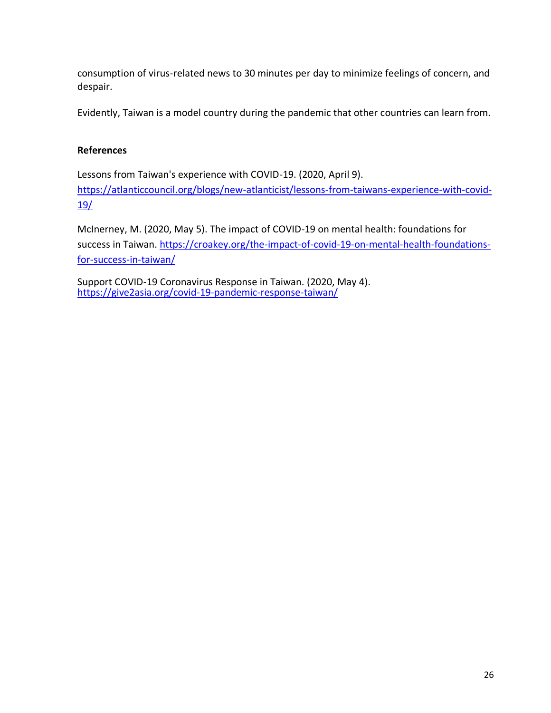consumption of virus-related news to 30 minutes per day to minimize feelings of concern, and despair.

Evidently, Taiwan is a model country during the pandemic that other countries can learn from.

### **References**

Lessons from Taiwan's experience with COVID-19. (2020, April 9). [https://atlanticcouncil.org/blogs/new-atlanticist/lessons-from-taiwans-experience-with-covid-](https://atlanticcouncil.org/blogs/new-atlanticist/lessons-from-taiwans-experience-with-covid-19/)[19/](https://atlanticcouncil.org/blogs/new-atlanticist/lessons-from-taiwans-experience-with-covid-19/)

McInerney, M. (2020, May 5). The impact of COVID-19 on mental health: foundations for success in Taiwan. [https://croakey.org/the-impact-of-covid-19-on-mental-health-foundations](https://croakey.org/the-impact-of-covid-19-on-mental-health-foundations-for-success-in-taiwan/)[for-success-in-taiwan/](https://croakey.org/the-impact-of-covid-19-on-mental-health-foundations-for-success-in-taiwan/)

Support COVID-19 Coronavirus Response in Taiwan. (2020, May 4). <https://give2asia.org/covid-19-pandemic-response-taiwan/>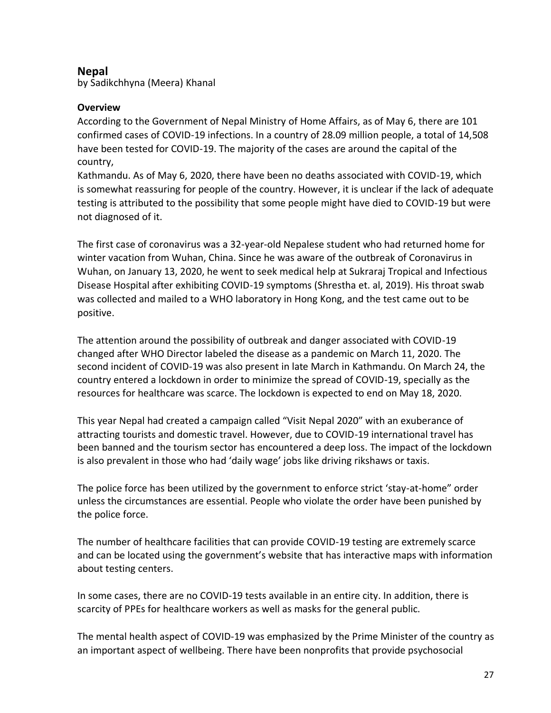# **Nepal**

by Sadikchhyna (Meera) Khanal

# **Overview**

According to the Government of Nepal Ministry of Home Affairs, as of May 6, there are 101 confirmed cases of COVID-19 infections. In a country of 28.09 million people, a total of 14,508 have been tested for COVID-19. The majority of the cases are around the capital of the country,

Kathmandu. As of May 6, 2020, there have been no deaths associated with COVID-19, which is somewhat reassuring for people of the country. However, it is unclear if the lack of adequate testing is attributed to the possibility that some people might have died to COVID-19 but were not diagnosed of it.

The first case of coronavirus was a 32-year-old Nepalese student who had returned home for winter vacation from Wuhan, China. Since he was aware of the outbreak of Coronavirus in Wuhan, on January 13, 2020, he went to seek medical help at Sukraraj Tropical and Infectious Disease Hospital after exhibiting COVID-19 symptoms (Shrestha et. al, 2019). His throat swab was collected and mailed to a WHO laboratory in Hong Kong, and the test came out to be positive.

The attention around the possibility of outbreak and danger associated with COVID-19 changed after WHO Director labeled the disease as a pandemic on March 11, 2020. The second incident of COVID-19 was also present in late March in Kathmandu. On March 24, the country entered a lockdown in order to minimize the spread of COVID-19, specially as the resources for healthcare was scarce. The lockdown is expected to end on May 18, 2020.

This year Nepal had created a campaign called "Visit Nepal 2020" with an exuberance of attracting tourists and domestic travel. However, due to COVID-19 international travel has been banned and the tourism sector has encountered a deep loss. The impact of the lockdown is also prevalent in those who had 'daily wage' jobs like driving rikshaws or taxis.

The police force has been utilized by the government to enforce strict 'stay-at-home" order unless the circumstances are essential. People who violate the order have been punished by the police force.

The number of healthcare facilities that can provide COVID-19 testing are extremely scarce and can be located using the government's website that has interactive maps with information about testing centers.

In some cases, there are no COVID-19 tests available in an entire city. In addition, there is scarcity of PPEs for healthcare workers as well as masks for the general public.

The mental health aspect of COVID-19 was emphasized by the Prime Minister of the country as an important aspect of wellbeing. There have been nonprofits that provide psychosocial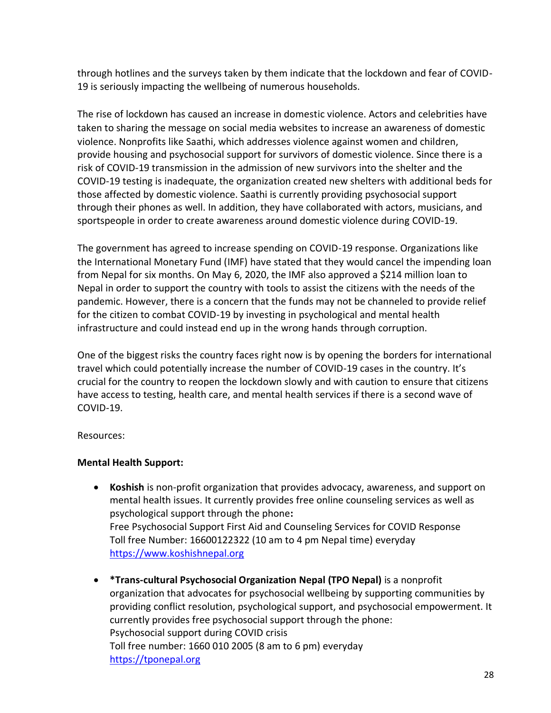through hotlines and the surveys taken by them indicate that the lockdown and fear of COVID-19 is seriously impacting the wellbeing of numerous households.

The rise of lockdown has caused an increase in domestic violence. Actors and celebrities have taken to sharing the message on social media websites to increase an awareness of domestic violence. Nonprofits like Saathi, which addresses violence against women and children, provide housing and psychosocial support for survivors of domestic violence. Since there is a risk of COVID-19 transmission in the admission of new survivors into the shelter and the COVID-19 testing is inadequate, the organization created new shelters with additional beds for those affected by domestic violence. Saathi is currently providing psychosocial support through their phones as well. In addition, they have collaborated with actors, musicians, and sportspeople in order to create awareness around domestic violence during COVID-19.

The government has agreed to increase spending on COVID-19 response. Organizations like the International Monetary Fund (IMF) have stated that they would cancel the impending loan from Nepal for six months. On May 6, 2020, the IMF also approved a \$214 million loan to Nepal in order to support the country with tools to assist the citizens with the needs of the pandemic. However, there is a concern that the funds may not be channeled to provide relief for the citizen to combat COVID-19 by investing in psychological and mental health infrastructure and could instead end up in the wrong hands through corruption.

One of the biggest risks the country faces right now is by opening the borders for international travel which could potentially increase the number of COVID-19 cases in the country. It's crucial for the country to reopen the lockdown slowly and with caution to ensure that citizens have access to testing, health care, and mental health services if there is a second wave of COVID-19.

Resources:

### **Mental Health Support:**

- **Koshish** is non-profit organization that provides advocacy, awareness, and support on mental health issues. It currently provides free online counseling services as well as psychological support through the phone**:** Free Psychosocial Support First Aid and Counseling Services for COVID Response Toll free Number: 16600122322 (10 am to 4 pm Nepal time) everyday [https://www.koshishnepal.org](https://www.koshishnepal.org/)
- **\*Trans-cultural Psychosocial Organization Nepal (TPO Nepal)** is a nonprofit organization that advocates for psychosocial wellbeing by supporting communities by providing conflict resolution, psychological support, and psychosocial empowerment. It currently provides free psychosocial support through the phone: Psychosocial support during COVID crisis Toll free number: 1660 010 2005 (8 am to 6 pm) everyday [https://tponepal.org](https://tponepal.org/)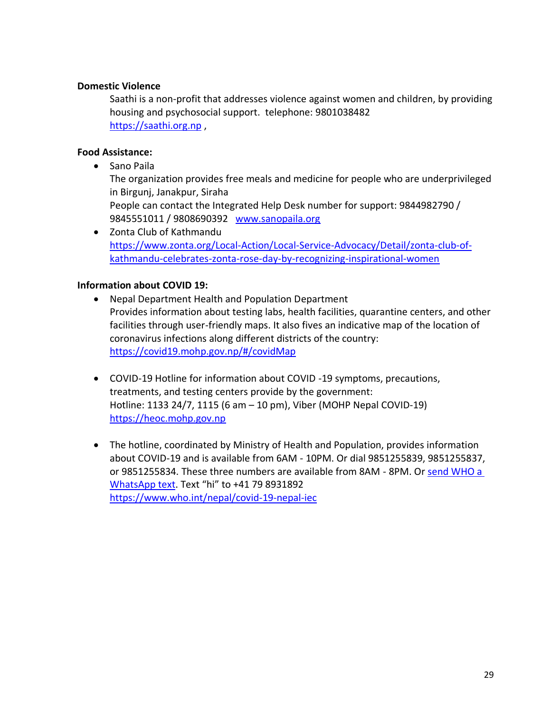## **Domestic Violence**

Saathi is a non-profit that addresses violence against women and children, by providing housing and psychosocial support. telephone: 9801038482 [https://saathi.org.np](https://saathi.org.np/) ,

## **Food Assistance:**

• Sano Paila

The organization provides free meals and medicine for people who are underprivileged in Birgunj, Janakpur, Siraha

People can contact the Integrated Help Desk number for support: 9844982790 / 9845551011 / 9808690392 [www.sanopaila.org](http://www.sanopaila.org/?fbclid=IwAR3D0qKa45z8bjbKpqDOoYIur5y57doIyVavE1Mal2Qd2Fo_rac0uHpobEM)

• Zonta Club of Kathmandu [https://www.zonta.org/Local-Action/Local-Service-Advocacy/Detail/zonta-club-of](https://www.zonta.org/Local-Action/Local-Service-Advocacy/Detail/zonta-club-of-kathmandu-celebrates-zonta-rose-day-by-recognizing-inspirational-women)[kathmandu-celebrates-zonta-rose-day-by-recognizing-inspirational-women](https://www.zonta.org/Local-Action/Local-Service-Advocacy/Detail/zonta-club-of-kathmandu-celebrates-zonta-rose-day-by-recognizing-inspirational-women)

### **Information about COVID 19:**

- Nepal Department Health and Population Department Provides information about testing labs, health facilities, quarantine centers, and other facilities through user-friendly maps. It also fives an indicative map of the location of coronavirus infections along different districts of the country: <https://covid19.mohp.gov.np/#/covidMap>
- COVID-19 Hotline for information about COVID -19 symptoms, precautions, treatments, and testing centers provide by the government: Hotline: 1133 24/7, 1115 (6 am – 10 pm), Viber (MOHP Nepal COVID-19) [https://heoc.mohp.gov.np](https://heoc.mohp.gov.np/)
- The hotline, coordinated by Ministry of Health and Population, provides information about COVID-19 and is available from 6AM - 10PM. Or dial 9851255839, 9851255837, or 9851255834. These three numbers are available from 8AM - 8PM. Or [send WHO a](https://www.who.int/news-room/feature-stories/detail/who-health-alert-brings-covid-19-facts-to-billions-via-whatsapp)  WhatsApp text</u>. Text "hi" to +41 79 8931892 <https://www.who.int/nepal/covid-19-nepal-iec>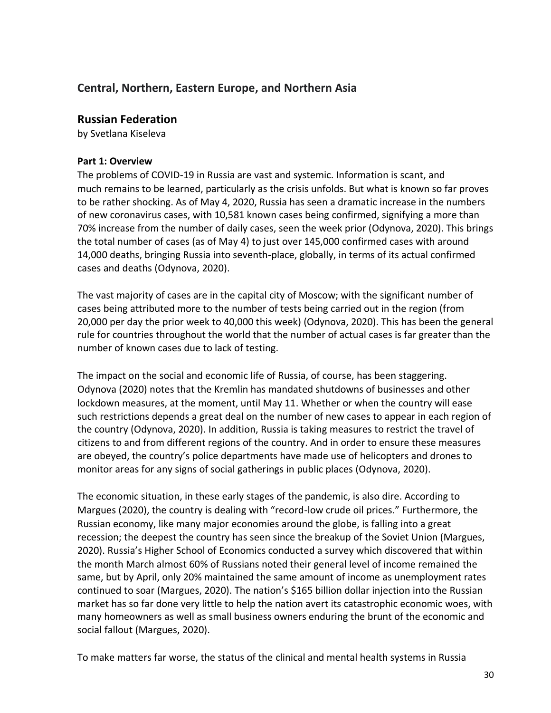# **Central, Northern, Eastern Europe, and Northern Asia**

## **Russian Federation**

by Svetlana Kiseleva

### **Part 1: Overview**

The problems of COVID-19 in Russia are vast and systemic. Information is scant, and much remains to be learned, particularly as the crisis unfolds. But what is known so far proves to be rather shocking. As of May 4, 2020, Russia has seen a dramatic increase in the numbers of new coronavirus cases, with 10,581 known cases being confirmed, signifying a more than 70% increase from the number of daily cases, seen the week prior (Odynova, 2020). This brings the total number of cases (as of May 4) to just over 145,000 confirmed cases with around 14,000 deaths, bringing Russia into seventh-place, globally, in terms of its actual confirmed cases and deaths (Odynova, 2020).

The vast majority of cases are in the capital city of Moscow; with the significant number of cases being attributed more to the number of tests being carried out in the region (from 20,000 per day the prior week to 40,000 this week) (Odynova, 2020). This has been the general rule for countries throughout the world that the number of actual cases is far greater than the number of known cases due to lack of testing.

The impact on the social and economic life of Russia, of course, has been staggering. Odynova (2020) notes that the Kremlin has mandated shutdowns of businesses and other lockdown measures, at the moment, until May 11. Whether or when the country will ease such restrictions depends a great deal on the number of new cases to appear in each region of the country (Odynova, 2020). In addition, Russia is taking measures to restrict the travel of citizens to and from different regions of the country. And in order to ensure these measures are obeyed, the country's police departments have made use of helicopters and drones to monitor areas for any signs of social gatherings in public places (Odynova, 2020).

The economic situation, in these early stages of the pandemic, is also dire. According to Margues (2020), the country is dealing with "record-low crude oil prices." Furthermore, the Russian economy, like many major economies around the globe, is falling into a great recession; the deepest the country has seen since the breakup of the Soviet Union (Margues, 2020). Russia's Higher School of Economics conducted a survey which discovered that within the month March almost 60% of Russians noted their general level of income remained the same, but by April, only 20% maintained the same amount of income as unemployment rates continued to soar (Margues, 2020). The nation's \$165 billion dollar injection into the Russian market has so far done very little to help the nation avert its catastrophic economic woes, with many homeowners as well as small business owners enduring the brunt of the economic and social fallout (Margues, 2020).

To make matters far worse, the status of the clinical and mental health systems in Russia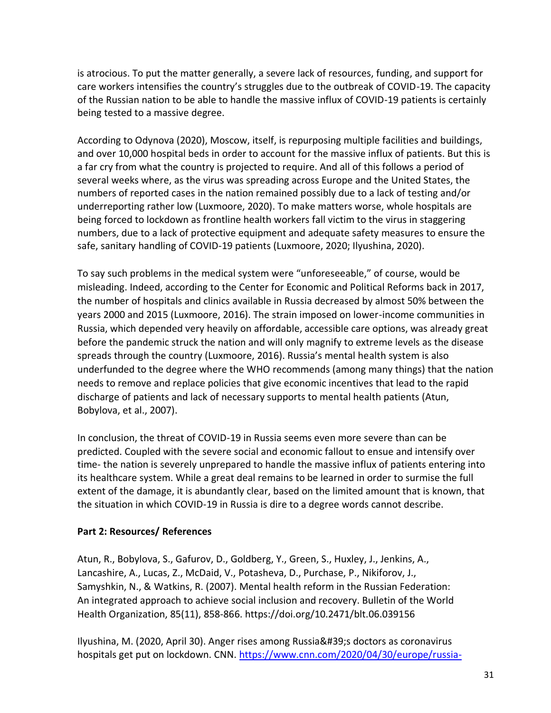is atrocious. To put the matter generally, a severe lack of resources, funding, and support for care workers intensifies the country's struggles due to the outbreak of COVID-19. The capacity of the Russian nation to be able to handle the massive influx of COVID-19 patients is certainly being tested to a massive degree.

According to Odynova (2020), Moscow, itself, is repurposing multiple facilities and buildings, and over 10,000 hospital beds in order to account for the massive influx of patients. But this is a far cry from what the country is projected to require. And all of this follows a period of several weeks where, as the virus was spreading across Europe and the United States, the numbers of reported cases in the nation remained possibly due to a lack of testing and/or underreporting rather low (Luxmoore, 2020). To make matters worse, whole hospitals are being forced to lockdown as frontline health workers fall victim to the virus in staggering numbers, due to a lack of protective equipment and adequate safety measures to ensure the safe, sanitary handling of COVID-19 patients (Luxmoore, 2020; Ilyushina, 2020).

To say such problems in the medical system were "unforeseeable," of course, would be misleading. Indeed, according to the Center for Economic and Political Reforms back in 2017, the number of hospitals and clinics available in Russia decreased by almost 50% between the years 2000 and 2015 (Luxmoore, 2016). The strain imposed on lower-income communities in Russia, which depended very heavily on affordable, accessible care options, was already great before the pandemic struck the nation and will only magnify to extreme levels as the disease spreads through the country (Luxmoore, 2016). Russia's mental health system is also underfunded to the degree where the WHO recommends (among many things) that the nation needs to remove and replace policies that give economic incentives that lead to the rapid discharge of patients and lack of necessary supports to mental health patients (Atun, Bobylova, et al., 2007).

In conclusion, the threat of COVID-19 in Russia seems even more severe than can be predicted. Coupled with the severe social and economic fallout to ensue and intensify over time- the nation is severely unprepared to handle the massive influx of patients entering into its healthcare system. While a great deal remains to be learned in order to surmise the full extent of the damage, it is abundantly clear, based on the limited amount that is known, that the situation in which COVID-19 in Russia is dire to a degree words cannot describe.

### **Part 2: Resources/ References**

Atun, R., Bobylova, S., Gafurov, D., Goldberg, Y., Green, S., Huxley, J., Jenkins, A., Lancashire, A., Lucas, Z., McDaid, V., Potasheva, D., Purchase, P., Nikiforov, J., Samyshkin, N., & Watkins, R. (2007). Mental health reform in the Russian Federation: An integrated approach to achieve social inclusion and recovery. Bulletin of the World Health Organization, 85(11), 858-866. https://doi.org/10.2471/blt.06.039156

Ilyushina, M. (2020, April 30). Anger rises among Russia's doctors as coronavirus hospitals get put on lockdown. CNN. [https://www.cnn.com/2020/04/30/europe/russia-](/Users/orange/Library/Containers/com.apple.mail/Data/Library/Mail%20Downloads/B44A62AA-11FA-4407-A626-EF7410DE5037/Central,%20Northern,%20Eastern%20Europe,%20and%20Northern%20Asia)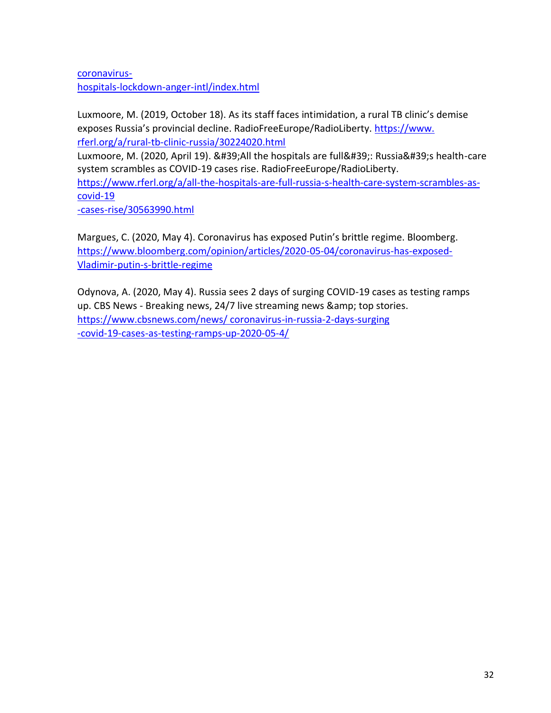[coronavirus](/Users/orange/Library/Containers/com.apple.mail/Data/Library/Mail%20Downloads/B44A62AA-11FA-4407-A626-EF7410DE5037/Central,%20Northern,%20Eastern%20Europe,%20and%20Northern%20Asia)[hospitals-lockdown-anger-intl/index.html](/Users/orange/Library/Containers/com.apple.mail/Data/Library/Mail%20Downloads/B44A62AA-11FA-4407-A626-EF7410DE5037/Central,%20Northern,%20Eastern%20Europe,%20and%20Northern%20Asia)

Luxmoore, M. (2019, October 18). As its staff faces intimidation, a rural TB clinic's demise exposes Russia's provincial decline. RadioFreeEurope/RadioLiberty. [https://www.](/Users/orange/Library/Containers/com.apple.mail/Data/Library/Mail%20Downloads/B44A62AA-11FA-4407-A626-EF7410DE5037/Central,%20Northern,%20Eastern%20Europe,%20and%20Northern%20Asia) [rferl.org/a/rural-tb-clinic-russia/30224020.html](/Users/orange/Library/Containers/com.apple.mail/Data/Library/Mail%20Downloads/B44A62AA-11FA-4407-A626-EF7410DE5037/Central,%20Northern,%20Eastern%20Europe,%20and%20Northern%20Asia)

Luxmoore, M. (2020, April 19). 'All the hospitals are full': Russia's health-care system scrambles as COVID-19 cases rise. RadioFreeEurope/RadioLiberty.

[https://www.rferl.org/a/all-the-hospitals-are-full-russia-s-health-care-system-scrambles-as](https://www.rferl.org/a/all-the-hospitals-are-full-russia-s-health-care-system-scrambles-as-covid-19%20-cases-rise/30563990.html)[covid-19](https://www.rferl.org/a/all-the-hospitals-are-full-russia-s-health-care-system-scrambles-as-covid-19%20-cases-rise/30563990.html)

[-cases-rise/30563990.html](https://www.rferl.org/a/all-the-hospitals-are-full-russia-s-health-care-system-scrambles-as-covid-19%20-cases-rise/30563990.html)

Margues, C. (2020, May 4). Coronavirus has exposed Putin's brittle regime. Bloomberg. [https://www.bloomberg.com/opinion/articles/2020-05-04/coronavirus-has-exposed-](https://www.rferl.org/a/all-the-hospitals-are-full-russia-s-health-care-system-scrambles-as-covid-19%20-cases-rise/30563990.html)[Vladimir-putin-s-brittle-regime](https://www.rferl.org/a/all-the-hospitals-are-full-russia-s-health-care-system-scrambles-as-covid-19%20-cases-rise/30563990.html)

Odynova, A. (2020, May 4). Russia sees 2 days of surging COVID-19 cases as testing ramps up. CBS News - Breaking news, 24/7 live streaming news & amp; top stories. [https://www.cbsnews.com/news/ coronavirus-in-russia-2-days-surging](https://www.rferl.org/a/all-the-hospitals-are-full-russia-s-health-care-system-scrambles-as-covid-19%20-cases-rise/30563990.html) [-covid-19-cases-as-testing-ramps-up-2020-05-4/](https://www.rferl.org/a/all-the-hospitals-are-full-russia-s-health-care-system-scrambles-as-covid-19%20-cases-rise/30563990.html)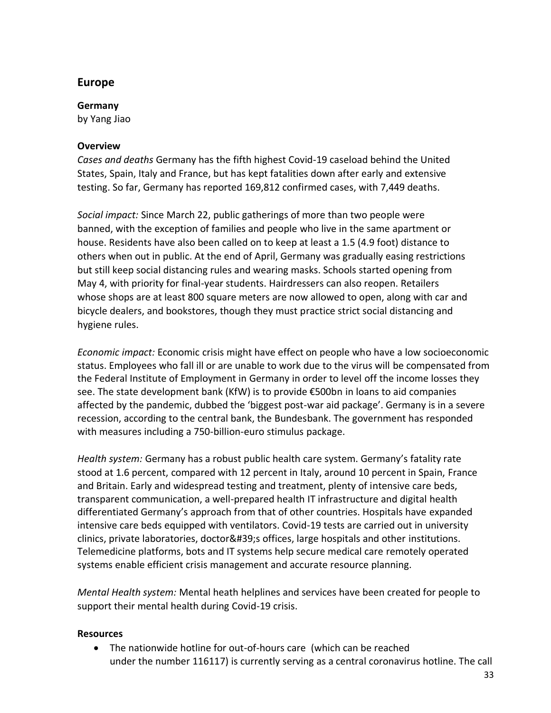# **Europe**

### **Germany**

by Yang Jiao

## **Overview**

*Cases and deaths* Germany has the fifth highest Covid-19 caseload behind the United States, Spain, Italy and France, but has kept fatalities down after early and extensive testing. So far, Germany has reported 169,812 confirmed cases, with 7,449 deaths.

*Social impact:* Since March 22, public gatherings of more than two people were banned, with the exception of families and people who live in the same apartment or house. Residents have also been called on to keep at least a 1.5 (4.9 foot) distance to others when out in public. At the end of April, Germany was gradually easing restrictions but still keep social distancing rules and wearing masks. Schools started opening from May 4, with priority for final-year students. Hairdressers can also reopen. Retailers whose shops are at least 800 square meters are now allowed to open, along with car and bicycle dealers, and bookstores, though they must practice strict social distancing and hygiene rules.

*Economic impact:* Economic crisis might have effect on people who have a low socioeconomic status. Employees who fall ill or are unable to work due to the virus will be compensated from the Federal Institute of Employment in Germany in order to level off the income losses they see. The state development bank (KfW) is to provide €500bn in loans to aid companies affected by the pandemic, dubbed the 'biggest post-war aid package'. Germany is in a severe recession, according to the central bank, the Bundesbank. The government has responded with measures including a 750-billion-euro stimulus package.

*Health system:* Germany has a robust public health care system. Germany's fatality rate stood at 1.6 percent, compared with 12 percent in Italy, around 10 percent in Spain, France and Britain. Early and widespread testing and treatment, plenty of intensive care beds, transparent communication, a well-prepared health IT infrastructure and digital health differentiated Germany's approach from that of other countries. Hospitals have expanded intensive care beds equipped with ventilators. Covid-19 tests are carried out in university clinics, private laboratories, doctor's offices, large hospitals and other institutions. Telemedicine platforms, bots and IT systems help secure medical care remotely operated systems enable efficient crisis management and accurate resource planning.

*Mental Health system:* Mental heath helplines and services have been created for people to support their mental health during Covid-19 crisis.

## **Resources**

• The nationwide hotline for out-of-hours care (which can be reached under the number 116117) is currently serving as a central coronavirus hotline. The call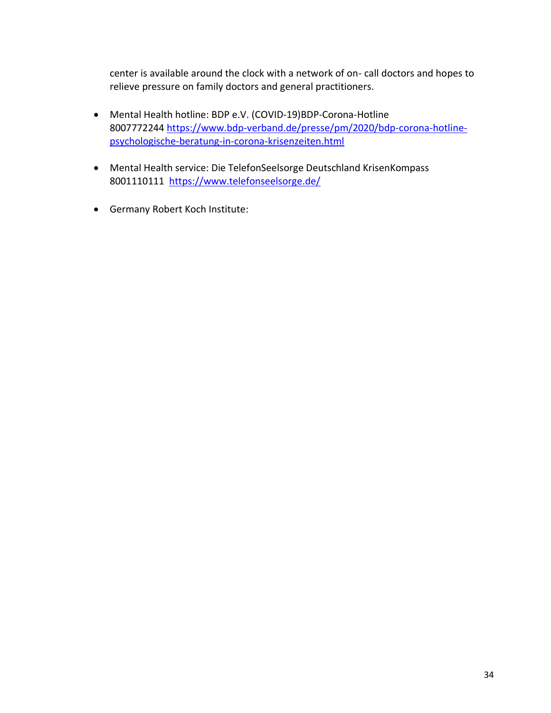center is available around the clock with a network of on- call doctors and hopes to relieve pressure on family doctors and general practitioners.

- Mental Health hotline: BDP e.V. (COVID-19)BDP-Corona-Hotline 8007772244 [https://www.bdp-verband.de/presse/pm/2020/bdp-corona-hotline](https://www.bdp-verband.de/presse/pm/2020/bdp-corona-hotline-psychologische-beratung-in-corona-krisenzeiten.html)[psychologische-beratung-in-corona-krisenzeiten.html](https://www.bdp-verband.de/presse/pm/2020/bdp-corona-hotline-psychologische-beratung-in-corona-krisenzeiten.html)
- Mental Health service: Die TelefonSeelsorge Deutschland KrisenKompass 8001110111 <https://www.telefonseelsorge.de/>
- Germany Robert Koch Institute: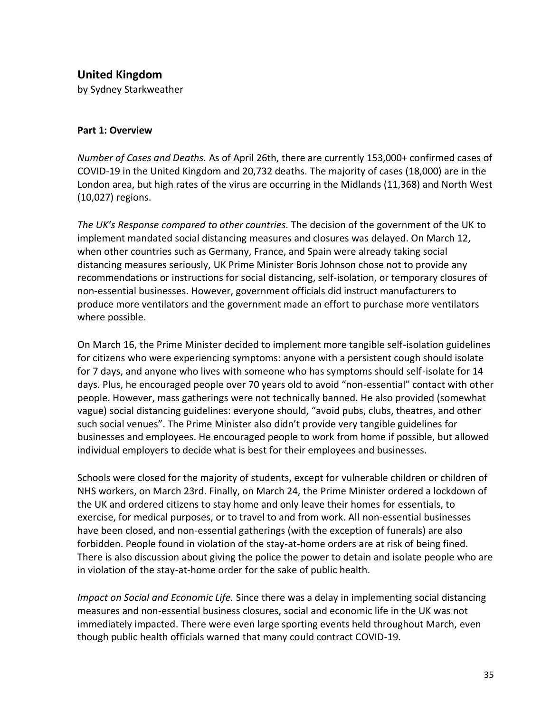**United Kingdom** 

by Sydney Starkweather

#### **Part 1: Overview**

*Number of Cases and Deaths.* As of April 26th, there are currently 153,000+ confirmed cases of COVID-19 in the United Kingdom and 20,732 deaths. The majority of cases (18,000) are in the London area, but high rates of the virus are occurring in the Midlands (11,368) and North West (10,027) regions.

*The UK's Response compared to other countries.* The decision of the government of the UK to implement mandated social distancing measures and closures was delayed. On March 12, when other countries such as Germany, France, and Spain were already taking social distancing measures seriously, UK Prime Minister Boris Johnson chose not to provide any recommendations or instructions for social distancing, self-isolation, or temporary closures of non-essential businesses. However, government officials did instruct manufacturers to produce more ventilators and the government made an effort to purchase more ventilators where possible.

On March 16, the Prime Minister decided to implement more tangible self-isolation guidelines for citizens who were experiencing symptoms: anyone with a persistent cough should isolate for 7 days, and anyone who lives with someone who has symptoms should self-isolate for 14 days. Plus, he encouraged people over 70 years old to avoid "non-essential" contact with other people. However, mass gatherings were not technically banned. He also provided (somewhat vague) social distancing guidelines: everyone should, "avoid pubs, clubs, theatres, and other such social venues". The Prime Minister also didn't provide very tangible guidelines for businesses and employees. He encouraged people to work from home if possible, but allowed individual employers to decide what is best for their employees and businesses.

Schools were closed for the majority of students, except for vulnerable children or children of NHS workers, on March 23rd. Finally, on March 24, the Prime Minister ordered a lockdown of the UK and ordered citizens to stay home and only leave their homes for essentials, to exercise, for medical purposes, or to travel to and from work. All non-essential businesses have been closed, and non-essential gatherings (with the exception of funerals) are also forbidden. People found in violation of the stay-at-home orders are at risk of being fined. There is also discussion about giving the police the power to detain and isolate people who are in violation of the stay-at-home order for the sake of public health.

*Impact on Social and Economic Life.* Since there was a delay in implementing social distancing measures and non-essential business closures, social and economic life in the UK was not immediately impacted. There were even large sporting events held throughout March, even though public health officials warned that many could contract COVID-19.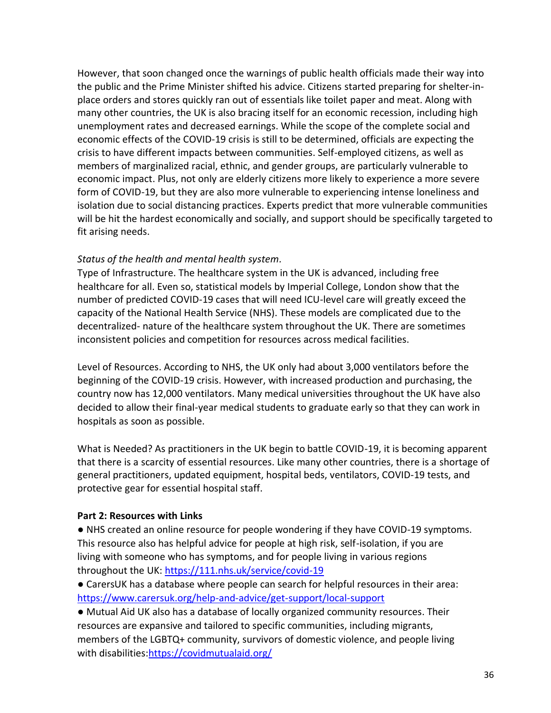However, that soon changed once the warnings of public health officials made their way into the public and the Prime Minister shifted his advice. Citizens started preparing for shelter-inplace orders and stores quickly ran out of essentials like toilet paper and meat. Along with many other countries, the UK is also bracing itself for an economic recession, including high unemployment rates and decreased earnings. While the scope of the complete social and economic effects of the COVID-19 crisis is still to be determined, officials are expecting the crisis to have different impacts between communities. Self-employed citizens, as well as members of marginalized racial, ethnic, and gender groups, are particularly vulnerable to economic impact. Plus, not only are elderly citizens more likely to experience a more severe form of COVID-19, but they are also more vulnerable to experiencing intense loneliness and isolation due to social distancing practices. Experts predict that more vulnerable communities will be hit the hardest economically and socially, and support should be specifically targeted to fit arising needs.

## *Status of the health and mental health system.*

Type of Infrastructure. The healthcare system in the UK is advanced, including free healthcare for all. Even so, statistical models by Imperial College, London show that the number of predicted COVID-19 cases that will need ICU-level care will greatly exceed the capacity of the National Health Service (NHS). These models are complicated due to the decentralized- nature of the healthcare system throughout the UK. There are sometimes inconsistent policies and competition for resources across medical facilities.

Level of Resources. According to NHS, the UK only had about 3,000 ventilators before the beginning of the COVID-19 crisis. However, with increased production and purchasing, the country now has 12,000 ventilators. Many medical universities throughout the UK have also decided to allow their final-year medical students to graduate early so that they can work in hospitals as soon as possible.

What is Needed? As practitioners in the UK begin to battle COVID-19, it is becoming apparent that there is a scarcity of essential resources. Like many other countries, there is a shortage of general practitioners, updated equipment, hospital beds, ventilators, COVID-19 tests, and protective gear for essential hospital staff.

### **Part 2: Resources with Links**

● NHS created an online resource for people wondering if they have COVID-19 symptoms. This resource also has helpful advice for people at high risk, self-isolation, if you are living with someone who has symptoms, and for people living in various regions throughout the UK:<https://111.nhs.uk/service/covid-19>

● CarersUK has a database where people can search for helpful resources in their area: <https://www.carersuk.org/help-and-advice/get-support/local-support>

● Mutual Aid UK also has a database of locally organized community resources. Their resources are expansive and tailored to specific communities, including migrants, members of the LGBTQ+ community, survivors of domestic violence, and people living with disabilities[:https://covidmutualaid.org/](https://covidmutualaid.org/)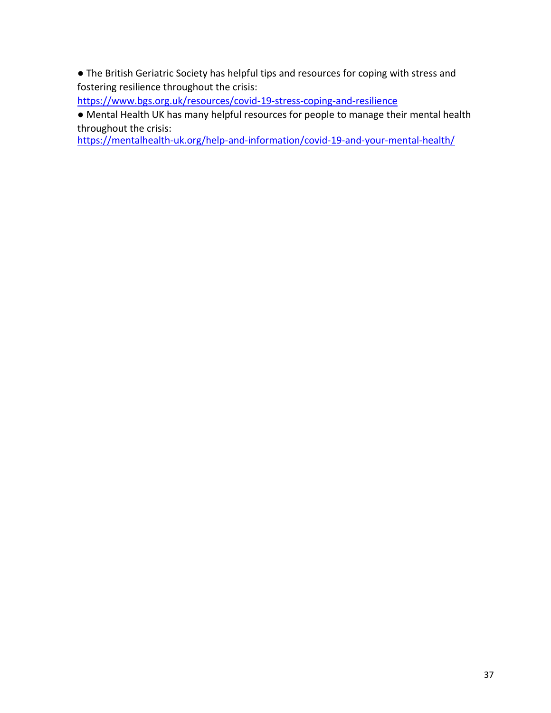● The British Geriatric Society has helpful tips and resources for coping with stress and fostering resilience throughout the crisis:

<https://www.bgs.org.uk/resources/covid-19-stress-coping-and-resilience>

● Mental Health UK has many helpful resources for people to manage their mental health throughout the crisis:

<https://mentalhealth-uk.org/help-and-information/covid-19-and-your-mental-health/>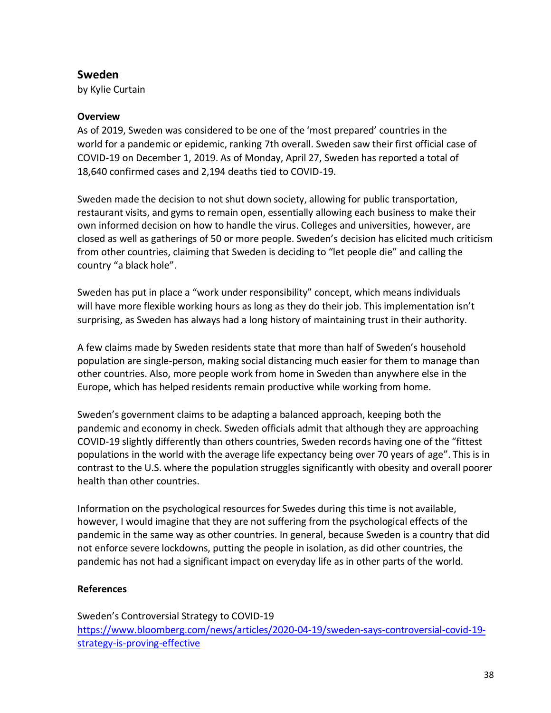# **Sweden**

by Kylie Curtain

### **Overview**

As of 2019, Sweden was considered to be one of the 'most prepared' countries in the world for a pandemic or epidemic, ranking 7th overall. Sweden saw their first official case of COVID-19 on December 1, 2019. As of Monday, April 27, Sweden has reported a total of 18,640 confirmed cases and 2,194 deaths tied to COVID-19.

Sweden made the decision to not shut down society, allowing for public transportation, restaurant visits, and gyms to remain open, essentially allowing each business to make their own informed decision on how to handle the virus. Colleges and universities, however, are closed as well as gatherings of 50 or more people. Sweden's decision has elicited much criticism from other countries, claiming that Sweden is deciding to "let people die" and calling the country "a black hole".

Sweden has put in place a "work under responsibility" concept, which means individuals will have more flexible working hours as long as they do their job. This implementation isn't surprising, as Sweden has always had a long history of maintaining trust in their authority.

A few claims made by Sweden residents state that more than half of Sweden's household population are single-person, making social distancing much easier for them to manage than other countries. Also, more people work from home in Sweden than anywhere else in the Europe, which has helped residents remain productive while working from home.

Sweden's government claims to be adapting a balanced approach, keeping both the pandemic and economy in check. Sweden officials admit that although they are approaching COVID-19 slightly differently than others countries, Sweden records having one of the "fittest populations in the world with the average life expectancy being over 70 years of age". This is in contrast to the U.S. where the population struggles significantly with obesity and overall poorer health than other countries.

Information on the psychological resources for Swedes during this time is not available, however, I would imagine that they are not suffering from the psychological effects of the pandemic in the same way as other countries. In general, because Sweden is a country that did not enforce severe lockdowns, putting the people in isolation, as did other countries, the pandemic has not had a significant impact on everyday life as in other parts of the world.

## **References**

Sweden's Controversial Strategy to COVID-19 [https://www.bloomberg.com/news/articles/2020-04-19/sweden-says-controversial-covid-19](https://www.bloomberg.com/news/articles/2020-04-19/sweden-says-controversial-covid-19-strategy-is-proving-effective) [strategy-is-proving-effective](https://www.bloomberg.com/news/articles/2020-04-19/sweden-says-controversial-covid-19-strategy-is-proving-effective)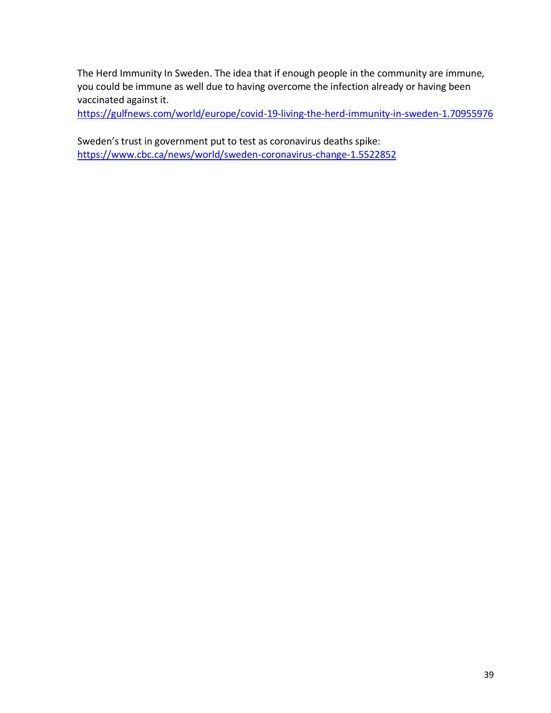The Herd Immunity In Sweden. The idea that if enough people in the community are immune, you could be immune as well due to having overcome the infection already or having been vaccinated against it.

<https://gulfnews.com/world/europe/covid-19-living-the-herd-immunity-in-sweden-1.70955976>

Sweden's trust in government put to test as coronavirus deaths spike: <https://www.cbc.ca/news/world/sweden-coronavirus-change-1.5522852>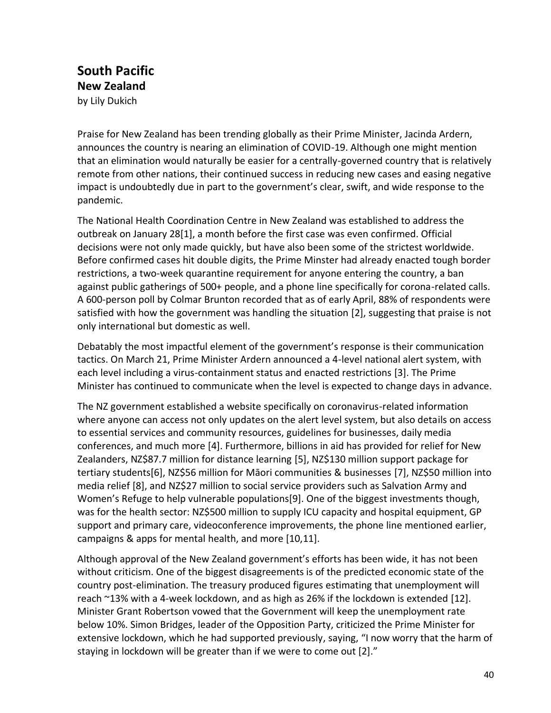# **South Pacific New Zealand**  by Lily Dukich

Praise for New Zealand has been trending globally as their Prime Minister, Jacinda Ardern, announces the country is nearing an elimination of COVID-19. Although one might mention that an elimination would naturally be easier for a centrally-governed country that is relatively remote from other nations, their continued success in reducing new cases and easing negative impact is undoubtedly due in part to the government's clear, swift, and wide response to the pandemic.

The National Health Coordination Centre in New Zealand was established to address the outbreak on January 28[1], a month before the first case was even confirmed. Official decisions were not only made quickly, but have also been some of the strictest worldwide. Before confirmed cases hit double digits, the Prime Minster had already enacted tough border restrictions, a two-week quarantine requirement for anyone entering the country, a ban against public gatherings of 500+ people, and a phone line specifically for corona-related calls. A 600-person poll by Colmar Brunton recorded that as of early April, 88% of respondents were satisfied with how the government was handling the situation [2], suggesting that praise is not only international but domestic as well.

Debatably the most impactful element of the government's response is their communication tactics. On March 21, Prime Minister Ardern announced a 4-level national alert system, with each level including a virus-containment status and enacted restrictions [3]. The Prime Minister has continued to communicate when the level is expected to change days in advance.

The NZ government established a website specifically on coronavirus-related information where anyone can access not only updates on the alert level system, but also details on access to essential services and community resources, guidelines for businesses, daily media conferences, and much more [4]. Furthermore, billions in aid has provided for relief for New Zealanders, NZ\$87.7 million for distance learning [5], NZ\$130 million support package for tertiary students[6], NZ\$56 million for Māori communities & businesses [7], NZ\$50 million into media relief [8], and NZ\$27 million to social service providers such as Salvation Army and Women's Refuge to help vulnerable populations[9]. One of the biggest investments though, was for the health sector: NZ\$500 million to supply ICU capacity and hospital equipment, GP support and primary care, videoconference improvements, the phone line mentioned earlier, campaigns & apps for mental health, and more [10,11].

Although approval of the New Zealand government's efforts has been wide, it has not been without criticism. One of the biggest disagreements is of the predicted economic state of the country post-elimination. The treasury produced figures estimating that unemployment will reach ~13% with a 4-week lockdown, and as high as 26% if the lockdown is extended [12]. Minister Grant Robertson vowed that the Government will keep the unemployment rate below 10%. Simon Bridges, leader of the Opposition Party, criticized the Prime Minister for extensive lockdown, which he had supported previously, saying, "I now worry that the harm of staying in lockdown will be greater than if we were to come out [2]."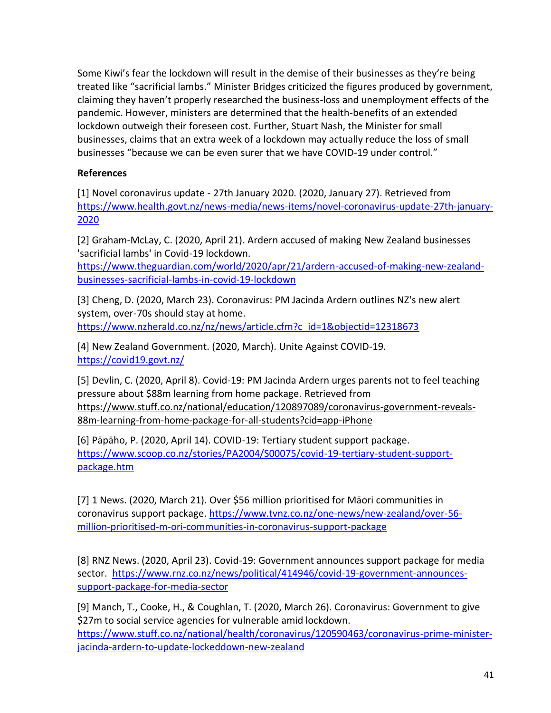Some Kiwi's fear the lockdown will result in the demise of their businesses as they're being treated like "sacrificial lambs." Minister Bridges criticized the figures produced by government, claiming they haven't properly researched the business-loss and unemployment effects of the pandemic. However, ministers are determined that the health-benefits of an extended lockdown outweigh their foreseen cost. Further, Stuart Nash, the Minister for small businesses, claims that an extra week of a lockdown may actually reduce the loss of small businesses "because we can be even surer that we have COVID-19 under control."

### **References**

[1] Novel coronavirus update - 27th January 2020. (2020, January 27). Retrieved from [https://www.health.govt.nz/news-media/news-items/novel-coronavirus-update-27th-january-](https://www.health.govt.nz/news-media/news-items/novel-coronavirus-update-27th-january-2020)[2020](https://www.health.govt.nz/news-media/news-items/novel-coronavirus-update-27th-january-2020)

[2] Graham-McLay, C. (2020, April 21). Ardern accused of making New Zealand businesses 'sacrificial lambs' in Covid-19 lockdown.

[https://www.theguardian.com/world/2020/apr/21/ardern-accused-of-making-new-zealand](https://www.theguardian.com/world/2020/apr/21/ardern-accused-of-making-new-zealand-businesses-sacrificial-lambs-in-covid-19-lockdown)[businesses-sacrificial-lambs-in-covid-19-lockdown](https://www.theguardian.com/world/2020/apr/21/ardern-accused-of-making-new-zealand-businesses-sacrificial-lambs-in-covid-19-lockdown)

[3] Cheng, D. (2020, March 23). Coronavirus: PM Jacinda Ardern outlines NZ's new alert system, over-70s should stay at home. [https://www.nzherald.co.nz/nz/news/article.cfm?c\\_id=1&objectid=12318673](https://www.nzherald.co.nz/nz/news/article.cfm?c_id=1&objectid=12318673)

[4] New Zealand Government. (2020, March). Unite Against COVID-19. <https://covid19.govt.nz/>

[5] Devlin, C. (2020, April 8). Covid-19: PM Jacinda Ardern urges parents not to feel teaching pressure about \$88m learning from home package. Retrieved from [https://www.stuff.co.nz/national/education/120897089/coronavirus-government-reveals-](https://www.stuff.co.nz/national/education/120897089/coronavirus-government-reveals-88m-learning-from-home-package-for-all-students?cid=app-iPhone)[88m-learning-from-home-package-for-all-students?cid=app-iPhone](https://www.stuff.co.nz/national/education/120897089/coronavirus-government-reveals-88m-learning-from-home-package-for-all-students?cid=app-iPhone)

[6] Pāpāho, P. (2020, April 14). COVID-19: Tertiary student support package. [https://www.scoop.co.nz/stories/PA2004/S00075/covid-19-tertiary-student-support](https://www.scoop.co.nz/stories/PA2004/S00075/covid-19-tertiary-student-support-package.htm)[package.htm](https://www.scoop.co.nz/stories/PA2004/S00075/covid-19-tertiary-student-support-package.htm)

[7] 1 News. (2020, March 21). Over \$56 million prioritised for Māori communities in coronavirus support package. [https://www.tvnz.co.nz/one-news/new-zealand/over-56](https://www.tvnz.co.nz/one-news/new-zealand/over-56-million-prioritised-m-ori-communities-in-coronavirus-support-package) [million-prioritised-m-ori-communities-in-coronavirus-support-package](https://www.tvnz.co.nz/one-news/new-zealand/over-56-million-prioritised-m-ori-communities-in-coronavirus-support-package)

[8] RNZ News. (2020, April 23). Covid-19: Government announces support package for media sector. [https://www.rnz.co.nz/news/political/414946/covid-19-government-announces](https://www.rnz.co.nz/news/political/414946/covid-19-government-announces-support-package-for-media-sector)[support-package-for-media-sector](https://www.rnz.co.nz/news/political/414946/covid-19-government-announces-support-package-for-media-sector)

[9] Manch, T., Cooke, H., & Coughlan, T. (2020, March 26). Coronavirus: Government to give \$27m to social service agencies for vulnerable amid lockdown. [https://www.stuff.co.nz/national/health/coronavirus/120590463/coronavirus-prime-minister](https://www.stuff.co.nz/national/health/coronavirus/120590463/coronavirus-prime-minister-jacinda-ardern-to-update-lockeddown-new-zealand)[jacinda-ardern-to-update-lockeddown-new-zealand](https://www.stuff.co.nz/national/health/coronavirus/120590463/coronavirus-prime-minister-jacinda-ardern-to-update-lockeddown-new-zealand)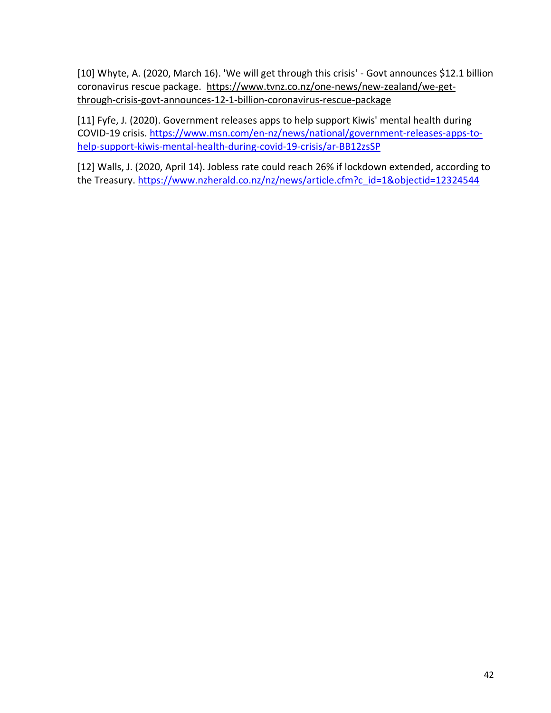[10] Whyte, A. (2020, March 16). 'We will get through this crisis' - Govt announces \$12.1 billion coronavirus rescue package. [https://www.tvnz.co.nz/one-news/new-zealand/we-get](https://www.tvnz.co.nz/one-news/new-zealand/we-get-through-crisis-govt-announces-12-1-billion-coronavirus-rescue-package)[through-crisis-govt-announces-12-1-billion-coronavirus-rescue-package](https://www.tvnz.co.nz/one-news/new-zealand/we-get-through-crisis-govt-announces-12-1-billion-coronavirus-rescue-package)

[11] Fyfe, J. (2020). Government releases apps to help support Kiwis' mental health during COVID-19 crisis. [https://www.msn.com/en-nz/news/national/government-releases-apps-to](https://www.msn.com/en-nz/news/national/government-releases-apps-to-help-support-kiwis-mental-health-during-covid-19-crisis/ar-BB12zsSP)[help-support-kiwis-mental-health-during-covid-19-crisis/ar-BB12zsSP](https://www.msn.com/en-nz/news/national/government-releases-apps-to-help-support-kiwis-mental-health-during-covid-19-crisis/ar-BB12zsSP)

[12] Walls, J. (2020, April 14). Jobless rate could reach 26% if lockdown extended, according to the Treasury. [https://www.nzherald.co.nz/nz/news/article.cfm?c\\_id=1&objectid=12324544](https://www.nzherald.co.nz/nz/news/article.cfm?c_id=1&objectid=12324544)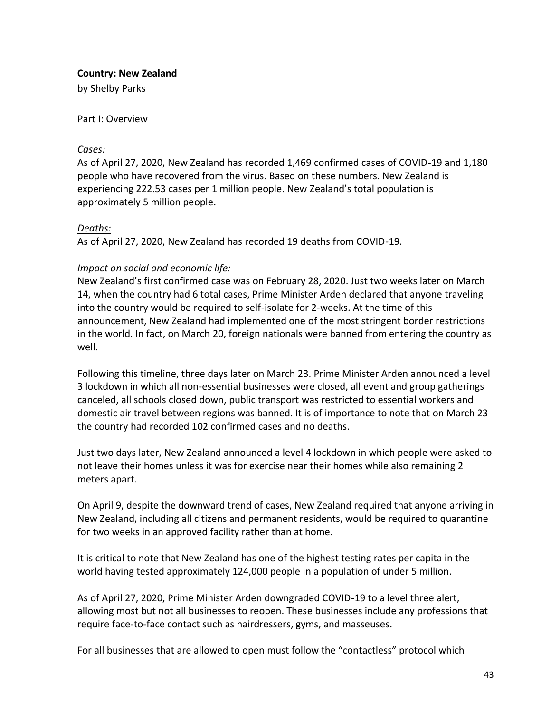### **Country: New Zealand**

by Shelby Parks

### Part I: Overview

#### *Cases:*

As of April 27, 2020, New Zealand has recorded 1,469 confirmed cases of COVID-19 and 1,180 people who have recovered from the virus. Based on these numbers. New Zealand is experiencing 222.53 cases per 1 million people. New Zealand's total population is approximately 5 million people.

### *Deaths:*

As of April 27, 2020, New Zealand has recorded 19 deaths from COVID-19.

### *Impact on social and economic life:*

New Zealand's first confirmed case was on February 28, 2020. Just two weeks later on March 14, when the country had 6 total cases, Prime Minister Arden declared that anyone traveling into the country would be required to self-isolate for 2-weeks. At the time of this announcement, New Zealand had implemented one of the most stringent border restrictions in the world. In fact, on March 20, foreign nationals were banned from entering the country as well.

Following this timeline, three days later on March 23. Prime Minister Arden announced a level 3 lockdown in which all non-essential businesses were closed, all event and group gatherings canceled, all schools closed down, public transport was restricted to essential workers and domestic air travel between regions was banned. It is of importance to note that on March 23 the country had recorded 102 confirmed cases and no deaths.

Just two days later, New Zealand announced a level 4 lockdown in which people were asked to not leave their homes unless it was for exercise near their homes while also remaining 2 meters apart.

On April 9, despite the downward trend of cases, New Zealand required that anyone arriving in New Zealand, including all citizens and permanent residents, would be required to quarantine for two weeks in an approved facility rather than at home.

It is critical to note that New Zealand has one of the highest testing rates per capita in the world having tested approximately 124,000 people in a population of under 5 million.

As of April 27, 2020, Prime Minister Arden downgraded COVID-19 to a level three alert, allowing most but not all businesses to reopen. These businesses include any professions that require face-to-face contact such as hairdressers, gyms, and masseuses.

For all businesses that are allowed to open must follow the "contactless" protocol which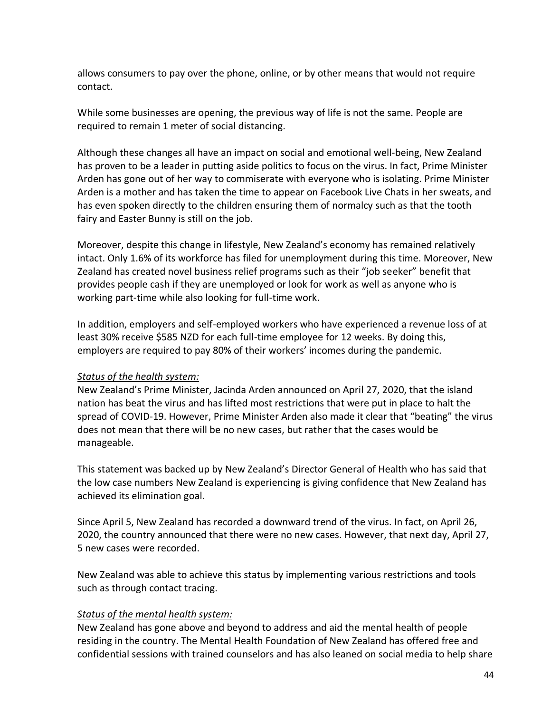allows consumers to pay over the phone, online, or by other means that would not require contact.

While some businesses are opening, the previous way of life is not the same. People are required to remain 1 meter of social distancing.

Although these changes all have an impact on social and emotional well-being, New Zealand has proven to be a leader in putting aside politics to focus on the virus. In fact, Prime Minister Arden has gone out of her way to commiserate with everyone who is isolating. Prime Minister Arden is a mother and has taken the time to appear on Facebook Live Chats in her sweats, and has even spoken directly to the children ensuring them of normalcy such as that the tooth fairy and Easter Bunny is still on the job.

Moreover, despite this change in lifestyle, New Zealand's economy has remained relatively intact. Only 1.6% of its workforce has filed for unemployment during this time. Moreover, New Zealand has created novel business relief programs such as their "job seeker" benefit that provides people cash if they are unemployed or look for work as well as anyone who is working part-time while also looking for full-time work.

In addition, employers and self-employed workers who have experienced a revenue loss of at least 30% receive \$585 NZD for each full-time employee for 12 weeks. By doing this, employers are required to pay 80% of their workers' incomes during the pandemic.

### *Status of the health system:*

New Zealand's Prime Minister, Jacinda Arden announced on April 27, 2020, that the island nation has beat the virus and has lifted most restrictions that were put in place to halt the spread of COVID-19. However, Prime Minister Arden also made it clear that "beating" the virus does not mean that there will be no new cases, but rather that the cases would be manageable.

This statement was backed up by New Zealand's Director General of Health who has said that the low case numbers New Zealand is experiencing is giving confidence that New Zealand has achieved its elimination goal.

Since April 5, New Zealand has recorded a downward trend of the virus. In fact, on April 26, 2020, the country announced that there were no new cases. However, that next day, April 27, 5 new cases were recorded.

New Zealand was able to achieve this status by implementing various restrictions and tools such as through contact tracing.

### *Status of the mental health system:*

New Zealand has gone above and beyond to address and aid the mental health of people residing in the country. The Mental Health Foundation of New Zealand has offered free and confidential sessions with trained counselors and has also leaned on social media to help share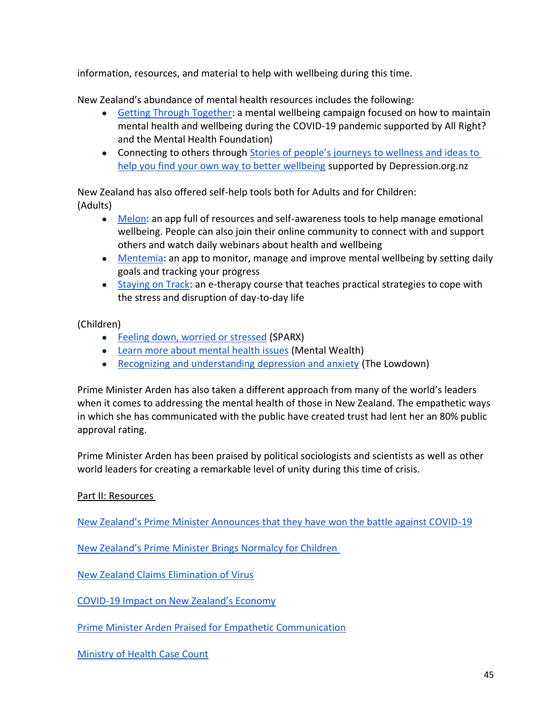information, resources, and material to help with wellbeing during this time.

New Zealand's abundance of mental health resources includes the following:

- [Getting Through Together:](https://www.allright.org.nz/campaigns/getting-through-together) a mental wellbeing campaign focused on how to maintain mental health and wellbeing during the COVID-19 pandemic supported by All Right? and the Mental Health Foundation)
- Connecting to others through Stories of people's journeys to wellness and ideas to [help you find your own way to better wellbeing](https://depression.org.nz/) supported by Depression.org.nz

New Zealand has also offered self-help tools both for Adults and for Children: (Adults)

- [Melon:](https://www.melonhealth.com/covid-19/) an app full of resources and self-awareness tools to help manage emotional wellbeing. People can also join their online community to connect with and support others and watch daily webinars about health and wellbeing
- [Mentemia:](https://www.mentemia.com/covid-19) an app to monitor, manage and improve mental wellbeing by setting daily goals and tracking your progress
- [Staying on Track:](https://www.justathought.co.nz/covid19) an e-therapy course that teaches practical strategies to cope with the stress and disruption of day-to-day life

(Children)

- [Feeling down, worried or stressed](https://www.sparx.org.nz/) (SPARX)
- [Learn more about mental health issues](https://www.mentalwealth.nz/) (Mental Wealth)
- [Recognizing and understanding depression and anxiety](https://thelowdown.co.nz/) (The Lowdown)

Prime Minister Arden has also taken a different approach from many of the world's leaders when it comes to addressing the mental health of those in New Zealand. The empathetic ways in which she has communicated with the public have created trust had lent her an 80% public approval rating.

Prime Minister Arden has been praised by political sociologists and scientists as well as other world leaders for creating a remarkable level of unity during this time of crisis.

# Part II: Resources

New Z[ealand's Prime Minister Announces that they have won the battle against COVID](https://www.npr.org/sections/coronavirus-live-updates/2020/04/27/845304917/new-zealand-says-it-has-won-battle-against-covid-19)-19

New Zealand's P[rime Minister Brings Normalcy for Children](https://www.npr.org/sections/coronavirus-live-updates/2020/04/07/828839205/the-easter-bunny-is-an-essential-worker-new-zealands-ardern-says) 

[New Zealand Claims Elimination of Virus](https://www.cnn.com/2020/04/27/asia/new-zealand-elimination-coronavirus-jacinda-ardern-intl/index.html)

COVID-[19 Impact on New Zealand's Economy](https://www.brookings.edu/research/the-effect-of-covid-19-and-disease-suppression-policies-on-labor-markets-a-preliminary-analysis-of-the-data/)

[Prime Minister Arden Praised for Empathetic Communication](https://www.npr.org/sections/coronavirus-live-updates/2020/04/25/844720581/praised-for-curbing-covid-19-new-zealands-leader-eases-country-s-strict-lockdown)

[Ministry of Health Case Count](https://www.health.govt.nz/our-work/diseases-and-conditions/covid-19-novel-coronavirus/covid-19-data-and-statistics/covid-19-current-cases)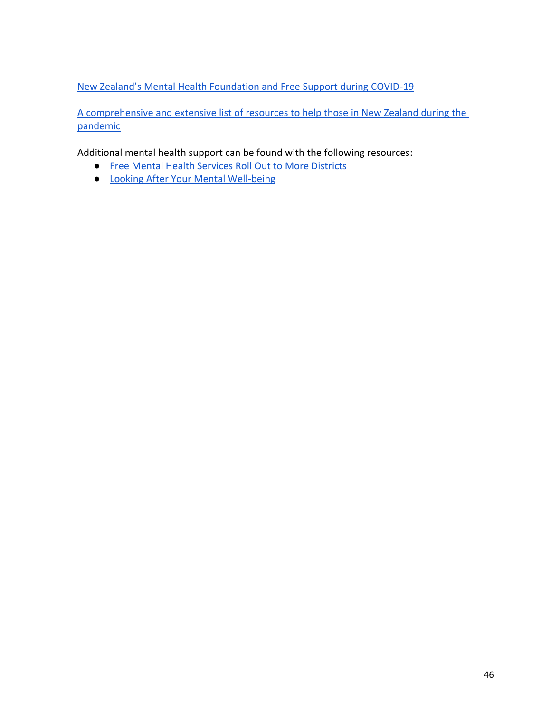New [Zealand's Mental Health Foundation and Free Support during COVID](https://www.mentalhealth.org.nz/get-help/getting-through-together/)-19

[A comprehensive and extensive list of resources to help those in New Zealand during the](https://www.health.govt.nz/our-work/diseases-and-conditions/covid-19-novel-coronavirus/covid-19-health-advice-public/covid-19-mental-health-and-wellbeing-resources)  [pandemic](https://www.health.govt.nz/our-work/diseases-and-conditions/covid-19-novel-coronavirus/covid-19-health-advice-public/covid-19-mental-health-and-wellbeing-resources)

Additional mental health support can be found with the following resources:

- [Free Mental Health Services Roll Out to More Districts](https://www.nzherald.co.nz/nz/covid-19-coronavirus-free-mental-health-services-roll-out-to-more-districts/XRDOGQLTAYI2WP2MAVWEYMAGT4/)
- [Looking After Your Mental Well-being](https://covid19.govt.nz/health-and-wellbeing/mental-wellbeing/looking-after-your-mental-wellbeing/)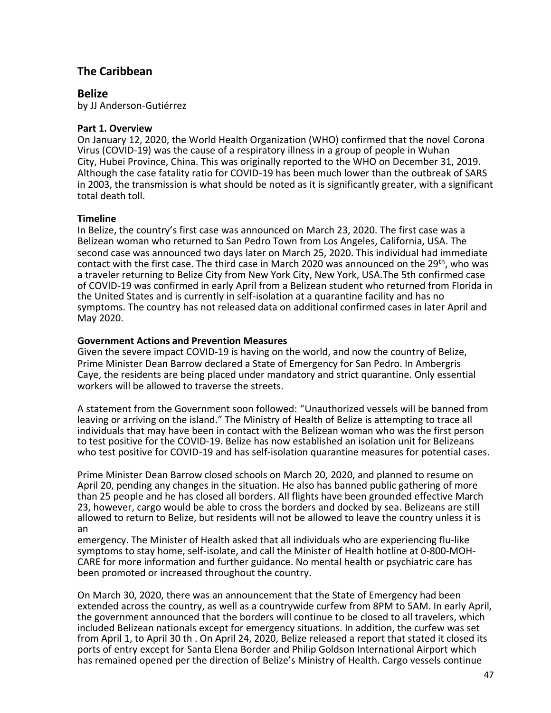# **The Caribbean**

### **Belize**

by JJ Anderson-Gutiérrez

#### **Part 1. Overview**

On January 12, 2020, the World Health Organization (WHO) confirmed that the novel Corona Virus (COVID-19) was the cause of a respiratory illness in a group of people in Wuhan City, Hubei Province, China. This was originally reported to the WHO on December 31, 2019. Although the case fatality ratio for COVID-19 has been much lower than the outbreak of SARS in 2003, the transmission is what should be noted as it is significantly greater, with a significant total death toll.

### **Timeline**

In Belize, the country's first case was announced on March 23, 2020. The first case was a Belizean woman who returned to San Pedro Town from Los Angeles, California, USA. The second case was announced two days later on March 25, 2020. This individual had immediate contact with the first case. The third case in March 2020 was announced on the  $29<sup>th</sup>$ , who was a traveler returning to Belize City from New York City, New York, USA.The 5th confirmed case of COVID-19 was confirmed in early April from a Belizean student who returned from Florida in the United States and is currently in self-isolation at a quarantine facility and has no symptoms. The country has not released data on additional confirmed cases in later April and May 2020.

#### **Government Actions and Prevention Measures**

Given the severe impact COVID-19 is having on the world, and now the country of Belize, Prime Minister Dean Barrow declared a State of Emergency for San Pedro. In Ambergris Caye, the residents are being placed under mandatory and strict quarantine. Only essential workers will be allowed to traverse the streets.

A statement from the Government soon followed: "Unauthorized vessels will be banned from leaving or arriving on the island." The Ministry of Health of Belize is attempting to trace all individuals that may have been in contact with the Belizean woman who was the first person to test positive for the COVID-19. Belize has now established an isolation unit for Belizeans who test positive for COVID-19 and has self-isolation quarantine measures for potential cases.

Prime Minister Dean Barrow closed schools on March 20, 2020, and planned to resume on April 20, pending any changes in the situation. He also has banned public gathering of more than 25 people and he has closed all borders. All flights have been grounded effective March 23, however, cargo would be able to cross the borders and docked by sea. Belizeans are still allowed to return to Belize, but residents will not be allowed to leave the country unless it is an

emergency. The Minister of Health asked that all individuals who are experiencing flu-like symptoms to stay home, self-isolate, and call the Minister of Health hotline at 0-800-MOH-CARE for more information and further guidance. No mental health or psychiatric care has been promoted or increased throughout the country.

On March 30, 2020, there was an announcement that the State of Emergency had been extended across the country, as well as a countrywide curfew from 8PM to 5AM. In early April, the government announced that the borders will continue to be closed to all travelers, which included Belizean nationals except for emergency situations. In addition, the curfew was set from April 1, to April 30 th . On April 24, 2020, Belize released a report that stated it closed its ports of entry except for Santa Elena Border and Philip Goldson International Airport which has remained opened per the direction of Belize's Ministry of Health. Cargo vessels continue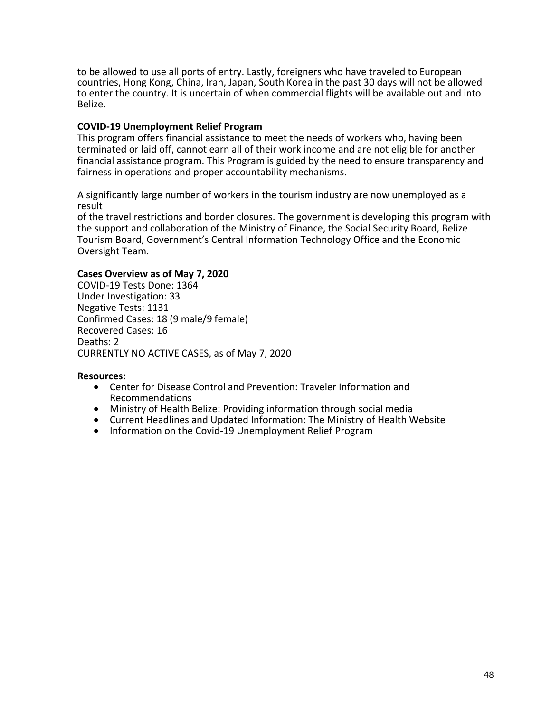to be allowed to use all ports of entry. Lastly, foreigners who have traveled to European countries, Hong Kong, China, Iran, Japan, South Korea in the past 30 days will not be allowed to enter the country. It is uncertain of when commercial flights will be available out and into Belize.

#### **COVID-19 Unemployment Relief Program**

This program offers financial assistance to meet the needs of workers who, having been terminated or laid off, cannot earn all of their work income and are not eligible for another financial assistance program. This Program is guided by the need to ensure transparency and fairness in operations and proper accountability mechanisms.

A significantly large number of workers in the tourism industry are now unemployed as a result

of the travel restrictions and border closures. The government is developing this program with the support and collaboration of the Ministry of Finance, the Social Security Board, Belize Tourism Board, Government's Central Information Technology Office and the Economic Oversight Team.

#### **Cases Overview as of May 7, 2020**

COVID-19 Tests Done: 1364 Under Investigation: 33 Negative Tests: 1131 Confirmed Cases: 18 (9 male/9 female) Recovered Cases: 16 Deaths: 2 CURRENTLY NO ACTIVE CASES, as of May 7, 2020

#### **Resources:**

- Center for Disease Control and Prevention: Traveler Information and Recommendations
- Ministry of Health Belize: Providing information through social media
- Current Headlines and Updated Information: The Ministry of Health Website
- Information on the Covid-19 Unemployment Relief Program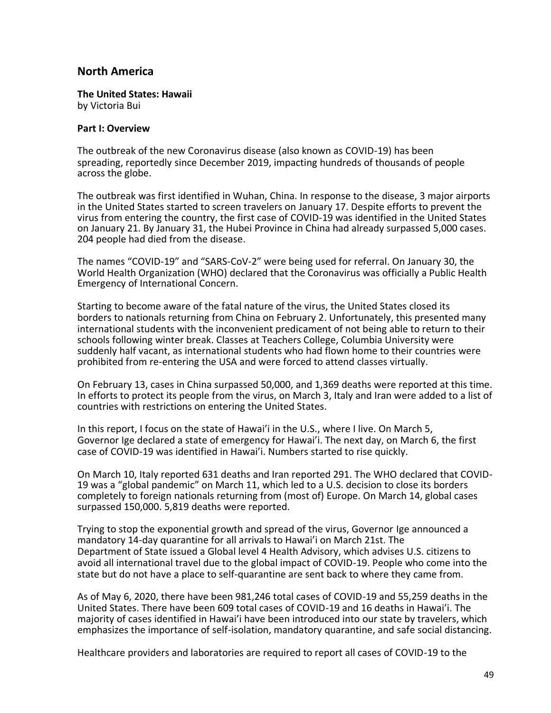## **North America**

**The United States: Hawaii**  by Victoria Bui

#### **Part I: Overview**

The outbreak of the new Coronavirus disease (also known as COVID-19) has been spreading, reportedly since December 2019, impacting hundreds of thousands of people across the globe.

The outbreak was first identified in Wuhan, China. In response to the disease, 3 major airports in the United States started to screen travelers on January 17. Despite efforts to prevent the virus from entering the country, the first case of COVID-19 was identified in the United States on January 21. By January 31, the Hubei Province in China had already surpassed 5,000 cases. 204 people had died from the disease.

The names "COVID-19" and "SARS-CoV-2" were being used for referral. On January 30, the World Health Organization (WHO) declared that the Coronavirus was officially a Public Health Emergency of International Concern.

Starting to become aware of the fatal nature of the virus, the United States closed its borders to nationals returning from China on February 2. Unfortunately, this presented many international students with the inconvenient predicament of not being able to return to their schools following winter break. Classes at Teachers College, Columbia University were suddenly half vacant, as international students who had flown home to their countries were prohibited from re-entering the USA and were forced to attend classes virtually.

On February 13, cases in China surpassed 50,000, and 1,369 deaths were reported at this time. In efforts to protect its people from the virus, on March 3, Italy and Iran were added to a list of countries with restrictions on entering the United States.

In this report, I focus on the state of Hawai'i in the U.S., where I live. On March 5, Governor Ige declared a state of emergency for Hawai'i. The next day, on March 6, the first case of COVID-19 was identified in Hawai'i. Numbers started to rise quickly.

On March 10, Italy reported 631 deaths and Iran reported 291. The WHO declared that COVID-19 was a "global pandemic" on March 11, which led to a U.S. decision to close its borders completely to foreign nationals returning from (most of) Europe. On March 14, global cases surpassed 150,000. 5,819 deaths were reported.

Trying to stop the exponential growth and spread of the virus, Governor Ige announced a mandatory 14-day quarantine for all arrivals to Hawai'i on March 21st. The Department of State issued a Global level 4 Health Advisory, which advises U.S. citizens to avoid all international travel due to the global impact of COVID-19. People who come into the state but do not have a place to self-quarantine are sent back to where they came from.

As of May 6, 2020, there have been 981,246 total cases of COVID-19 and 55,259 deaths in the United States. There have been 609 total cases of COVID-19 and 16 deaths in Hawai'i. The majority of cases identified in Hawai'i have been introduced into our state by travelers, which emphasizes the importance of self-isolation, mandatory quarantine, and safe social distancing.

Healthcare providers and laboratories are required to report all cases of COVID-19 to the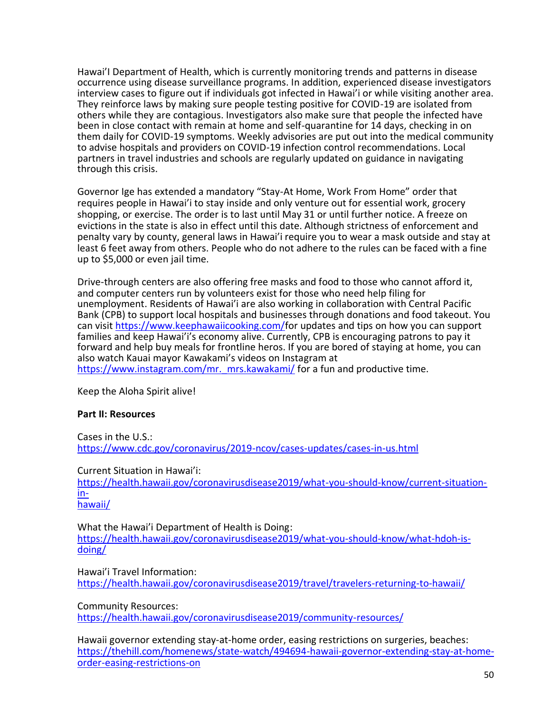Hawai'I Department of Health, which is currently monitoring trends and patterns in disease occurrence using disease surveillance programs. In addition, experienced disease investigators interview cases to figure out if individuals got infected in Hawai'i or while visiting another area. They reinforce laws by making sure people testing positive for COVID-19 are isolated from others while they are contagious. Investigators also make sure that people the infected have been in close contact with remain at home and self-quarantine for 14 days, checking in on them daily for COVID-19 symptoms. Weekly advisories are put out into the medical community to advise hospitals and providers on COVID-19 infection control recommendations. Local partners in travel industries and schools are regularly updated on guidance in navigating through this crisis.

Governor Ige has extended a mandatory "Stay-At Home, Work From Home" order that requires people in Hawai'i to stay inside and only venture out for essential work, grocery shopping, or exercise. The order is to last until May 31 or until further notice. A freeze on evictions in the state is also in effect until this date. Although strictness of enforcement and penalty vary by county, general laws in Hawai'i require you to wear a mask outside and stay at least 6 feet away from others. People who do not adhere to the rules can be faced with a fine up to \$5,000 or even jail time.

Drive-through centers are also offering free masks and food to those who cannot afford it, and computer centers run by volunteers exist for those who need help filing for unemployment. Residents of Hawai'i are also working in collaboration with Central Pacific Bank (CPB) to support local hospitals and businesses through donations and food takeout. You can visit [https://www.keephawaiicooking.com/f](https://www.keephawaiicooking.com/)or updates and tips on how you can support families and keep Hawai'i's economy alive. Currently, CPB is encouraging patrons to pay it forward and help buy meals for frontline heros. If you are bored of staying at home, you can also watch Kauai mayor Kawakami's videos on Instagram at [https://www.instagram.com/mr.\\_mrs.kawakami/](https://www.instagram.com/mr._mrs.kawakami/) for a fun and productive time.

Keep the Aloha Spirit alive!

### **Part II: Resources**

Cases in the U.S.: <https://www.cdc.gov/coronavirus/2019-ncov/cases-updates/cases-in-us.html>

Current Situation in Hawai'i:

[https://health.hawaii.gov/coronavirusdisease2019/what-you-should-know/current-situation](/Users/orange/Library/Containers/com.apple.mail/Data/Library/Mail%20Downloads/B44A62AA-11FA-4407-A626-EF7410DE5037/The%20names%20%E2%80%9CCOVID-19%E2%80%9D%20and%20%E2%80%9CSARS-CoV-2%E2%80%9D%20were%20being%20used%20for%20referral.%20On%20January%2030,%20the%20World%20Health%20Organization%20(WHO)%20declared%20that%20the%20Coronavirus%20was%20officially%20a%20Public%20Health%20Emergency%20of%20International%20Concern.)in-

[hawaii/](/Users/orange/Library/Containers/com.apple.mail/Data/Library/Mail%20Downloads/B44A62AA-11FA-4407-A626-EF7410DE5037/The%20names%20%E2%80%9CCOVID-19%E2%80%9D%20and%20%E2%80%9CSARS-CoV-2%E2%80%9D%20were%20being%20used%20for%20referral.%20On%20January%2030,%20the%20World%20Health%20Organization%20(WHO)%20declared%20that%20the%20Coronavirus%20was%20officially%20a%20Public%20Health%20Emergency%20of%20International%20Concern.)

What the Hawai'i Department of Health is Doing: [https://health.hawaii.gov/coronavirusdisease2019/what-you-should-know/what-hdoh-is](https://health.hawaii.gov/coronavirusdisease2019/what-you-should-know/what-hdoh-is-doing/)[doing/](https://health.hawaii.gov/coronavirusdisease2019/what-you-should-know/what-hdoh-is-doing/)

Hawai'i Travel Information: <https://health.hawaii.gov/coronavirusdisease2019/travel/travelers-returning-to-hawaii/>

Community Resources:

<https://health.hawaii.gov/coronavirusdisease2019/community-resources/>

Hawaii governor extending stay-at-home order, easing restrictions on surgeries, beaches: [https://thehill.com/homenews/state-watch/494694-hawaii-governor-extending-stay-at-home](/Hawaii%20governor%20extending%20stay-at-home%20order,%20easing%20restrictions%20on%20surgeries,%20beaches/%20https/::thehill.com:homenews:state-watch:494694-hawaii-governor-extending-stay-at-home-%20order-easing-restrictions-on)[order-easing-restrictions-on](/Hawaii%20governor%20extending%20stay-at-home%20order,%20easing%20restrictions%20on%20surgeries,%20beaches/%20https/::thehill.com:homenews:state-watch:494694-hawaii-governor-extending-stay-at-home-%20order-easing-restrictions-on)